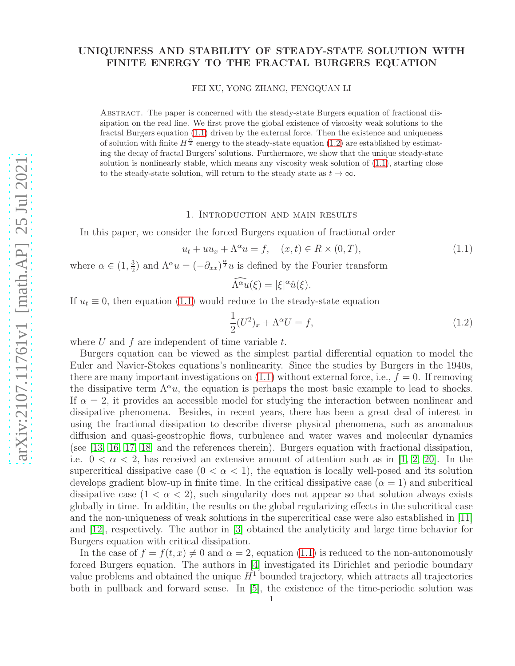## UNIQUENESS AND STABILITY OF STEADY-STATE SOLUTION WITH FINITE ENERGY TO THE FRACTAL BURGERS EQUATION

FEI XU, YONG ZHANG, FENGQUAN LI

Abstract. The paper is concerned with the steady-state Burgers equation of fractional dissipation on the real line. We first prove the global existence of viscosity weak solutions to the fractal Burgers equation [\(1.1\)](#page-0-0) driven by the external force. Then the existence and uniqueness of solution with finite  $H^{\frac{\alpha}{2}}$  energy to the steady-state equation [\(1.2\)](#page-0-1) are established by estimating the decay of fractal Burgers' solutions. Furthermore, we show that the unique steady-state solution is nonlinearly stable, which means any viscosity weak solution of [\(1.1\)](#page-0-0), starting close to the steady-state solution, will return to the steady state as  $t \to \infty$ .

#### 1. Introduction and main results

In this paper, we consider the forced Burgers equation of fractional order

<span id="page-0-0"></span>
$$
u_t + uu_x + \Lambda^\alpha u = f, \quad (x, t) \in R \times (0, T), \tag{1.1}
$$

where  $\alpha \in (1, \frac{3}{2})$  $\frac{3}{2}$ ) and  $\Lambda^{\alpha}u = (-\partial_{xx})^{\frac{\alpha}{2}}u$  is defined by the Fourier transform

$$
\widehat{\Lambda^{\alpha}u}(\xi) = |\xi|^{\alpha}\widehat{u}(\xi).
$$

If  $u_t \equiv 0$ , then equation [\(1.1\)](#page-0-0) would reduce to the steady-state equation

<span id="page-0-1"></span>
$$
\frac{1}{2}(U^2)_x + \Lambda^\alpha U = f,\tag{1.2}
$$

where  $U$  and  $f$  are independent of time variable  $t$ .

Burgers equation can be viewed as the simplest partial differential equation to model the Euler and Navier-Stokes equations's nonlinearity. Since the studies by Burgers in the 1940s, there are many important investigations on  $(1.1)$  without external force, i.e.,  $f = 0$ . If removing the dissipative term  $\Lambda^{\alpha}u$ , the equation is perhaps the most basic example to lead to shocks. If  $\alpha = 2$ , it provides an accessible model for studying the interaction between nonlinear and dissipative phenomena. Besides, in recent years, there has been a great deal of interest in using the fractional dissipation to describe diverse physical phenomena, such as anomalous diffusion and quasi-geostrophic flows, turbulence and water waves and molecular dynamics (see [\[13,](#page-17-0) [16,](#page-17-1) [17,](#page-17-2) [18\]](#page-18-0) and the references therein). Burgers equation with fractional dissipation, i.e.  $0 < \alpha < 2$ , has received an extensive amount of attention such as in [\[1,](#page-17-3) [2,](#page-17-4) [20\]](#page-18-1). In the supercritical dissipative case  $(0 < \alpha < 1)$ , the equation is locally well-posed and its solution develops gradient blow-up in finite time. In the critical dissipative case  $(\alpha = 1)$  and subcritical dissipative case  $(1 < \alpha < 2)$ , such singularity does not appear so that solution always exists globally in time. In additin, the results on the global regularizing effects in the subcritical case and the non-uniqueness of weak solutions in the supercritical case were also established in [\[11\]](#page-17-5) and [\[12\]](#page-17-6), respectively. The author in [\[3\]](#page-17-7) obtained the analyticity and large time behavior for Burgers equation with critical dissipation.

In the case of  $f = f(t, x) \neq 0$  and  $\alpha = 2$ , equation [\(1.1\)](#page-0-0) is reduced to the non-autonomously forced Burgers equation. The authors in [\[4\]](#page-17-8) investigated its Dirichlet and periodic boundary value problems and obtained the unique  $H<sup>1</sup>$  bounded trajectory, which attracts all trajectories both in pullback and forward sense. In [\[5\]](#page-17-9), the existence of the time-periodic solution was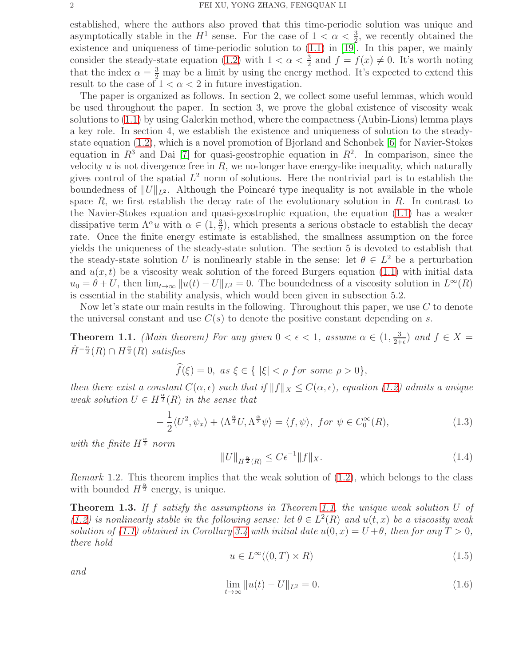established, where the authors also proved that this time-periodic solution was unique and asymptotically stable in the  $H^1$  sense. For the case of  $1 < \alpha < \frac{3}{2}$ , we recently obtained the existence and uniqueness of time-periodic solution to [\(1.1\)](#page-0-0) in [\[19\]](#page-18-2). In this paper, we mainly consider the steady-state equation [\(1.2\)](#page-0-1) with  $1 < \alpha < \frac{3}{2}$  and  $f = f(x) \neq 0$ . It's worth noting that the index  $\alpha = \frac{3}{2}$  may be a limit by using the energy method. It's expected to extend this result to the case of  $1 < \alpha < 2$  in future investigation.

The paper is organized as follows. In section 2, we collect some useful lemmas, which would be used throughout the paper. In section 3, we prove the global existence of viscosity weak solutions to [\(1.1\)](#page-0-0) by using Galerkin method, where the compactness (Aubin-Lions) lemma plays a key role. In section 4, we establish the existence and uniqueness of solution to the steadystate equation [\(1.2\)](#page-0-1), which is a novel promotion of Bjorland and Schonbek [\[6\]](#page-17-10) for Navier-Stokes equation in  $R^3$  and Dai [\[7\]](#page-17-11) for quasi-geostrophic equation in  $R^2$ . In comparison, since the velocity  $u$  is not divergence free in  $R$ , we no-longer have energy-like inequality, which naturally gives control of the spatial  $L^2$  norm of solutions. Here the nontrivial part is to establish the boundedness of  $||U||_{L^2}$ . Although the Poincaré type inequality is not available in the whole space  $R$ , we first establish the decay rate of the evolutionary solution in  $R$ . In contrast to the Navier-Stokes equation and quasi-geostrophic equation, the equation [\(1.1\)](#page-0-0) has a weaker dissipative term  $\Lambda^{\alpha} u$  with  $\alpha \in (1, \frac{3}{2})$  $\frac{3}{2}$ , which presents a serious obstacle to establish the decay rate. Once the finite energy estimate is established, the smallness assumption on the force yields the uniqueness of the steady-state solution. The section 5 is devoted to establish that the steady-state solution U is nonlinearly stable in the sense: let  $\theta \in L^2$  be a perturbation and  $u(x, t)$  be a viscosity weak solution of the forced Burgers equation [\(1.1\)](#page-0-0) with initial data  $u_0 = \theta + U$ , then  $\lim_{t\to\infty} ||u(t) - U||_{L^2} = 0$ . The boundedness of a viscosity solution in  $L^{\infty}(R)$ is essential in the stability analysis, which would been given in subsection 5.2.

Now let's state our main results in the following. Throughout this paper, we use  $C$  to denote the universal constant and use  $C(s)$  to denote the positive constant depending on s.

<span id="page-1-0"></span>**Theorem 1.1.** *(Main theorem) For any given*  $0 < \epsilon < 1$ *, assume*  $\alpha \in (1, \frac{3}{2+1})$  $\frac{3}{2+\epsilon}$ ) and  $f \in X =$  $\dot{H}^{-\frac{\alpha}{2}}(R) \cap H^{\frac{\alpha}{2}}(R)$  satisfies

 $\widehat{f}(\xi) = 0$ , as  $\xi \in \{ |\xi| < \rho \ for \ some \ \rho > 0 \},\$ 

*then there exist a constant*  $C(\alpha, \epsilon)$  *such that if*  $||f||_X \leq C(\alpha, \epsilon)$ *, equation* [\(1.2\)](#page-0-1) *admits a unique weak solution*  $U \in H^{\frac{\alpha}{2}}(R)$  *in the sense that* 

$$
-\frac{1}{2}\langle U^2, \psi_x \rangle + \langle \Lambda^{\frac{\alpha}{2}} U, \Lambda^{\frac{\alpha}{2}} \psi \rangle = \langle f, \psi \rangle, \text{ for } \psi \in C_0^{\infty}(R), \tag{1.3}
$$

with the finite  $H^{\frac{\alpha}{2}}$  norm

$$
||U||_{H^{\frac{\alpha}{2}}(R)} \leq C\epsilon^{-1}||f||_{X}.
$$
\n(1.4)

*Remark* 1.2*.* This theorem implies that the weak solution of [\(1.2\)](#page-0-1), which belongs to the class with bounded  $H^{\frac{\alpha}{2}}$  energy, is unique.

<span id="page-1-1"></span>Theorem 1.3. *If* f *satisfy the assumptions in Theorem [1.1,](#page-1-0) the unique weak solution* U *of* [\(1.2\)](#page-0-1) *is nonlinearly stable in the following sense: let*  $\theta \in L^2(R)$  *and*  $u(t, x)$  *be a viscosity weak solution of* [\(1.1\)](#page-0-0) *obtained in Corollary* [3.4](#page-4-0) *with initial date*  $u(0, x) = U + \theta$ *, then for any*  $T > 0$ *, there hold*

<span id="page-1-2"></span>
$$
u \in L^{\infty}((0, T) \times R) \tag{1.5}
$$

*and*

$$
\lim_{t \to \infty} \|u(t) - U\|_{L^2} = 0.
$$
\n(1.6)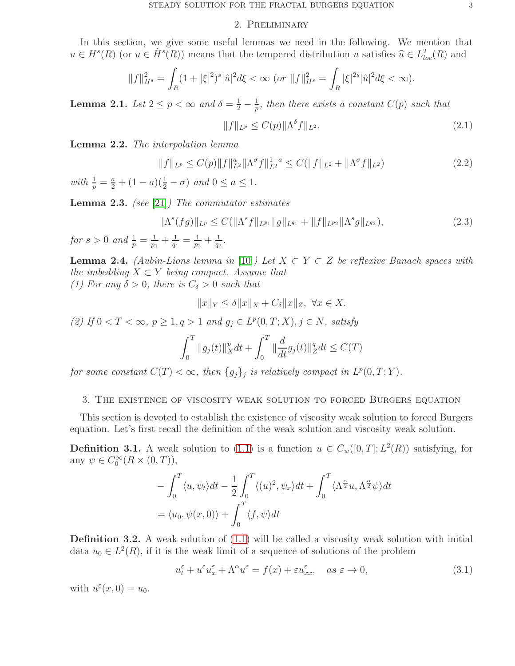#### 2. Preliminary

In this section, we give some useful lemmas we need in the following. We mention that  $u \in H<sup>s</sup>(R)$  (or  $u \in H<sup>s</sup>(R)$ ) means that the tempered distribution u satisfies  $\hat{u} \in L<sup>2</sup><sub>loc</sub>(R)$  and

$$
||f||_{H^s}^2 = \int_R (1+|\xi|^2)^s |\hat{u}|^2 d\xi < \infty \text{ (or } ||f||_{H^s}^2 = \int_R |\xi|^{2s} |\hat{u}|^2 d\xi < \infty).
$$

<span id="page-2-2"></span>**Lemma 2.1.** *Let*  $2 \le p < \infty$  *and*  $\delta = \frac{1}{2} - \frac{1}{p}$  $\frac{1}{p}$ , then there exists a constant  $C(p)$  such that

$$
||f||_{L^{p}} \leq C(p)||\Lambda^{\delta}f||_{L^{2}}.
$$
\n(2.1)

Lemma 2.2. *The interpolation lemma*

$$
||f||_{L^{p}} \leq C(p)||f||_{L^{2}}^{a}||\Lambda^{\sigma}f||_{L^{2}}^{1-a} \leq C(||f||_{L^{2}} + ||\Lambda^{\sigma}f||_{L^{2}})
$$
\n(2.2)

 $with \frac{1}{p} = \frac{a}{2} + (1 - a)(\frac{1}{2} - \sigma) \text{ and } 0 \le a \le 1.$ 

<span id="page-2-3"></span>Lemma 2.3. *(see* [\[21\]](#page-18-3)*) The commutator estimates*

$$
\|\Lambda^s(fg)\|_{L^p} \le C(\|\Lambda^s f\|_{L^{p_1}} \|g\|_{L^{q_1}} + \|f\|_{L^{p_2}} \|\Lambda^s g\|_{L^{q_2}}),
$$
\n(2.3)

*for*  $s > 0$  *and*  $\frac{1}{p} = \frac{1}{p_1}$  $\frac{1}{p_1} + \frac{1}{q_1}$  $\frac{1}{q_1}=\frac{1}{p_2}$  $\frac{1}{p_2} + \frac{1}{q_2}$  $\frac{1}{q_2}$ .

<span id="page-2-1"></span>**Lemma 2.4.** *(Aubin-Lions lemma in* [\[10\]](#page-17-12)*)* Let  $X \subset Y \subset Z$  be reflexive Banach spaces with *the imbedding*  $X \subset Y$  *being compact. Assume that* 

*(1) For any*  $\delta > 0$ *, there is*  $C_{\delta} > 0$  *such that* 

$$
||x||_Y \le \delta ||x||_X + C_{\delta} ||x||_Z, \ \forall x \in X.
$$

(2) If 0 < T < ∞,  $p \ge 1, q > 1$  and  $g_j \in L^p(0, T; X), j \in N$ , satisfy

$$
\int_0^T \|g_j(t)\|_X^p dt + \int_0^T \|\frac{d}{dt}g_j(t)\|_Z^q dt \le C(T)
$$

*for some constant*  $C(T) < \infty$ , then  $\{g_j\}_j$  is relatively compact in  $L^p(0,T;Y)$ .

### 3. The existence of viscosity weak solution to forced Burgers equation

This section is devoted to establish the existence of viscosity weak solution to forced Burgers equation. Let's first recall the definition of the weak solution and viscosity weak solution.

**Definition 3.1.** A weak solution to [\(1.1\)](#page-0-0) is a function  $u \in C_w([0,T]; L^2(R))$  satisfying, for any  $\psi \in C_0^{\infty}(R \times (0,T)),$ 

$$
-\int_0^T \langle u, \psi_t \rangle dt - \frac{1}{2} \int_0^T \langle (u)^2, \psi_x \rangle dt + \int_0^T \langle \Lambda^{\frac{\alpha}{2}} u, \Lambda^{\frac{\alpha}{2}} \psi \rangle dt
$$
  
=  $\langle u_0, \psi(x, 0) \rangle + \int_0^T \langle f, \psi \rangle dt$ 

Definition 3.2. A weak solution of [\(1.1\)](#page-0-0) will be called a viscosity weak solution with initial data  $u_0 \in L^2(R)$ , if it is the weak limit of a sequence of solutions of the problem

<span id="page-2-0"></span>
$$
u_t^{\varepsilon} + u^{\varepsilon} u_x^{\varepsilon} + \Lambda^{\alpha} u^{\varepsilon} = f(x) + \varepsilon u_{xx}^{\varepsilon}, \quad \text{as } \varepsilon \to 0,
$$
\n(3.1)

with  $u^{\varepsilon}(x, 0) = u_0$ .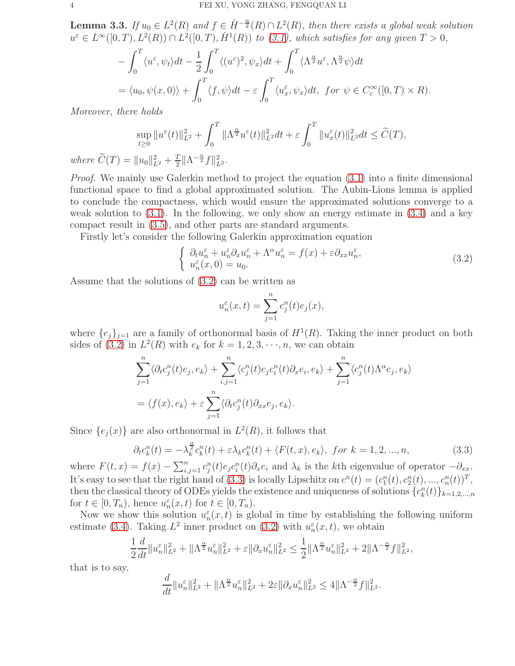<span id="page-3-2"></span>**Lemma 3.3.** *If*  $u_0 \in L^2(R)$  and  $f \in H^{-\frac{\alpha}{2}}(R) \cap L^2(R)$ , then there exists a global weak solution  $u^{\varepsilon} \in L^{\infty}([0,T), L^{2}(R)) \cap L^{2}([0,T), \dot{H}^{1}(R))$  *to* [\(3.1\)](#page-2-0), which satisfies for any given  $T > 0$ ,

$$
-\int_0^T \langle u^\varepsilon, \psi_t \rangle dt - \frac{1}{2} \int_0^T \langle (u^\varepsilon)^2, \psi_x \rangle dt + \int_0^T \langle \Lambda^{\frac{\alpha}{2}} u^\varepsilon, \Lambda^{\frac{\alpha}{2}} \psi \rangle dt
$$
  
=  $\langle u_0, \psi(x, 0) \rangle + \int_0^T \langle f, \psi \rangle dt - \varepsilon \int_0^T \langle u_x^\varepsilon, \psi_x \rangle dt, \text{ for } \psi \in C_c^\infty([0, T) \times R).$ 

*Moreover, there holds*

$$
\sup_{t\geq 0} \|u^{\varepsilon}(t)\|_{L^{2}}^{2} + \int_{0}^{T} \|\Lambda^{\frac{\alpha}{2}} u^{\varepsilon}(t)\|_{L^{2}}^{2} dt + \varepsilon \int_{0}^{T} \|u^{\varepsilon}_{x}(t)\|_{L^{2}}^{2} dt \leq \widetilde{C}(T),
$$

*where*  $\widetilde{C}(T) = ||u_0||_{L^2}^2 + \frac{T}{2}$  $\frac{T}{2} \|\Lambda^{-\frac{\alpha}{2}}f\|_{L^2}^2$ .

*Proof.* We mainly use Galerkin method to project the equation [\(3.1\)](#page-2-0) into a finite dimensional functional space to find a global approximated solution. The Aubin-Lions lemma is applied to conclude the compactness, which would ensure the approximated solutions converge to a weak solution to [\(3.1\)](#page-2-0). In the following, we only show an energy estimate in [\(3.4\)](#page-4-1) and a key compact result in [\(3.5\)](#page-4-2), and other parts are standard arguments.

Firstly let's consider the following Galerkin approximation equation

<span id="page-3-0"></span>
$$
\begin{cases}\n\partial_t u_n^{\varepsilon} + u_n^{\varepsilon} \partial_x u_n^{\varepsilon} + \Lambda^{\alpha} u_n^{\varepsilon} = f(x) + \varepsilon \partial_{xx} u_n^{\varepsilon}, \\
u_n^{\varepsilon}(x, 0) = u_0.\n\end{cases} \tag{3.2}
$$

Assume that the solutions of [\(3.2\)](#page-3-0) can be written as

$$
u_n^{\varepsilon}(x,t) = \sum_{j=1}^n c_j^n(t)e_j(x),
$$

where  $\{e_j\}_{j=1}$  are a family of orthonormal basis of  $H^1(R)$ . Taking the inner product on both sides of [\(3.2\)](#page-3-0) in  $L^2(R)$  with  $e_k$  for  $k = 1, 2, 3, \dots, n$ , we can obtain

$$
\sum_{j=1}^{n} \langle \partial_t c_j^n(t) e_j, e_k \rangle + \sum_{i,j=1}^{n} \langle c_j^n(t) e_j c_i^n(t) \partial_x e_i, e_k \rangle + \sum_{j=1}^{n} \langle c_j^n(t) \Lambda^{\alpha} e_j, e_k \rangle
$$
  
=  $\langle f(x), e_k \rangle + \varepsilon \sum_{j=1}^{n} \langle \partial_t c_j^n(t) \partial_{xx} e_j, e_k \rangle.$ 

Since  $\{e_j(x)\}\$ are also orthonormal in  $L^2(R)$ , it follows that

<span id="page-3-1"></span>
$$
\partial_t c_k^n(t) = -\lambda_k^{\frac{\alpha}{2}} c_k^n(t) + \varepsilon \lambda_k c_k^n(t) + \langle F(t, x), e_k \rangle, \text{ for } k = 1, 2, ..., n,
$$
\n(3.3)

where  $F(t, x) = f(x) - \sum_{i,j=1}^{n} c_j^n(t) e_j c_i^n(t) \partial_x e_i$  and  $\lambda_k$  is the kth eigenvalue of operator  $-\partial_{xx}$ . It's easy to see that the right hand of [\(3.3\)](#page-3-1) is locally Lipschitz on  $c^n(t) = (c_1^n(t), c_2^n(t), ..., c_n^n(t))^T$ , then the classical theory of ODEs yields the existence and uniqueness of solutions  $\{c_k^n(t)\}_{k=1,2,\dots,n}$ for  $t \in [0, T_n)$ , hence  $u_n^{\varepsilon}(x, t)$  for  $t \in [0, T_n)$ .

Now we show this solution  $u_n^{\varepsilon}(x,t)$  is global in time by establishing the following uniform estimate [\(3.4\)](#page-4-1). Taking  $L^2$  inner product on [\(3.2\)](#page-3-0) with  $u_n^{\varepsilon}(x,t)$ , we obtain

$$
\frac{1}{2}\frac{d}{dt}\|u_n^{\varepsilon}\|_{L^2}^2 + \|\Lambda^{\frac{\alpha}{2}}u_n^{\varepsilon}\|_{L^2}^2 + \varepsilon\|\partial_x u_n^{\varepsilon}\|_{L^2}^2 \le \frac{1}{2}\|\Lambda^{\frac{\alpha}{2}}u_n^{\varepsilon}\|_{L^2}^2 + 2\|\Lambda^{-\frac{\alpha}{2}}f\|_{L^2}^2,
$$

that is to say,

$$
\frac{d}{dt}||u_n^{\varepsilon}||_{L^2}^2 + ||\Lambda^{\frac{\alpha}{2}} u_n^{\varepsilon}||_{L^2}^2 + 2\varepsilon ||\partial_x u_n^{\varepsilon}||_{L^2}^2 \le 4||\Lambda^{-\frac{\alpha}{2}}f||_{L^2}^2.
$$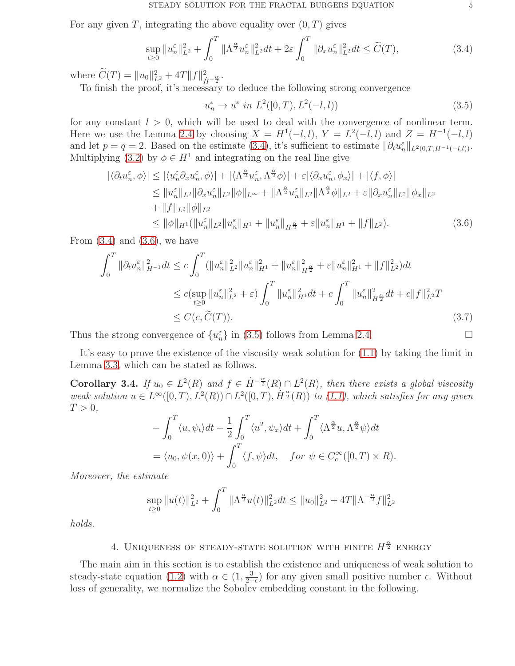For any given T, integrating the above equality over  $(0, T)$  gives

<span id="page-4-1"></span>
$$
\sup_{t\geq 0} \|u_n^{\varepsilon}\|_{L^2}^2 + \int_0^T \|\Lambda^{\frac{\alpha}{2}} u_n^{\varepsilon}\|_{L^2}^2 dt + 2\varepsilon \int_0^T \|\partial_x u_n^{\varepsilon}\|_{L^2}^2 dt \leq \widetilde{C}(T),
$$
\n(3.4)

where  $\hat{C}(T) = ||u_0||_{L^2}^2 + 4T||f||_{\dot{H}^{-\frac{\alpha}{2}}}^2$ .

To finish the proof, it's necessary to deduce the following strong convergence

<span id="page-4-3"></span><span id="page-4-2"></span>
$$
u_n^{\varepsilon} \to u^{\varepsilon} \text{ in } L^2([0, T), L^2(-l, l))
$$
\n(3.5)

for any constant  $l > 0$ , which will be used to deal with the convergence of nonlinear term. Here we use the Lemma [2.4](#page-2-1) by choosing  $X = H^1(-l, l)$ ,  $Y = L^2(-l, l)$  and  $Z = H^{-1}(-l, l)$ and let  $p = q = 2$ . Based on the estimate [\(3.4\)](#page-4-1), it's sufficient to estimate  $\|\partial_t u_n^{\varepsilon}\|_{L^2(0,T;H^{-1}(-l,l))}$ . Multiplying [\(3.2\)](#page-3-0) by  $\phi \in H^1$  and integrating on the real line give

$$
\begin{split}\n|\langle \partial_t u_n^{\varepsilon}, \phi \rangle| &\leq |\langle u_n^{\varepsilon} \partial_x u_n^{\varepsilon}, \phi \rangle| + |\langle \Lambda_2^{\alpha} u_n^{\varepsilon}, \Lambda_2^{\alpha} \phi \rangle| + \varepsilon |\langle \partial_x u_n^{\varepsilon}, \phi_x \rangle| + |\langle f, \phi \rangle| \\
&\leq \|u_n^{\varepsilon}\|_{L^2} \|\partial_x u_n^{\varepsilon}\|_{L^2} \|\phi\|_{L^\infty} + \|\Lambda_2^{\alpha} u_n^{\varepsilon}\|_{L^2} \|\Lambda_2^{\alpha} \phi\|_{L^2} + \varepsilon \|\partial_x u_n^{\varepsilon}\|_{L^2} \|\phi_x\|_{L^2} \\
&\quad + \|f\|_{L^2} \|\phi\|_{L^2} \\
&\leq \|\phi\|_{H^1} (\|u_n^{\varepsilon}\|_{L^2} \|u_n^{\varepsilon}\|_{H^1} + \|u_n^{\varepsilon}\|_{H^{\frac{\alpha}{2}}} + \varepsilon \|u_n^{\varepsilon}\|_{H^1} + \|f\|_{L^2}).\n\end{split} \tag{3.6}
$$

From  $(3.4)$  and  $(3.6)$ , we have

$$
\int_{0}^{T} \|\partial_{t}u_{n}^{\varepsilon}\|_{H^{-1}}^{2}dt \leq c \int_{0}^{T} (\|u_{n}^{\varepsilon}\|_{L^{2}}^{2} \|u_{n}^{\varepsilon}\|_{H^{1}}^{2} + \|u_{n}^{\varepsilon}\|_{H^{2}}^{2} + \varepsilon \|u_{n}^{\varepsilon}\|_{H^{1}}^{2} + \|f\|_{L^{2}}^{2})dt
$$
  
\n
$$
\leq c(\sup_{t\geq 0} \|u_{n}^{\varepsilon}\|_{L^{2}}^{2} + \varepsilon) \int_{0}^{T} \|u_{n}^{\varepsilon}\|_{H^{1}}^{2}dt + c \int_{0}^{T} \|u_{n}^{\varepsilon}\|_{H^{2}}^{2}dt + c\|f\|_{L^{2}}^{2}T
$$
  
\n
$$
\leq C(c, \widetilde{C}(T)).
$$
\n(3.7)

Thus the strong convergence of  $\{u_n^{\varepsilon}\}\$ in [\(3.5\)](#page-4-2) follows from Lemma [2.4.](#page-2-1)

It's easy to prove the existence of the viscosity weak solution for [\(1.1\)](#page-0-0) by taking the limit in Lemma [3.3,](#page-3-2) which can be stated as follows.

<span id="page-4-0"></span>Corollary 3.4. *If*  $u_0 \in L^2(R)$  and  $f \in \dot{H}^{-\frac{\alpha}{2}}(R) \cap L^2(R)$ , then there exists a global viscosity  $weak$  solution  $u \in L^{\infty}([0,T), L^{2}(R)) \cap L^{2}([0,T), \dot{H}^{\frac{\alpha}{2}}(R))$  *to* [\(1.1\)](#page-0-0), which satisfies for any given  $T > 0$ ,

$$
- \int_0^T \langle u, \psi_t \rangle dt - \frac{1}{2} \int_0^T \langle u^2, \psi_x \rangle dt + \int_0^T \langle \Lambda^{\frac{\alpha}{2}} u, \Lambda^{\frac{\alpha}{2}} \psi \rangle dt
$$
  
=  $\langle u_0, \psi(x, 0) \rangle + \int_0^T \langle f, \psi \rangle dt$ , for  $\psi \in C_c^{\infty}([0, T) \times R)$ .

*Moreover, the estimate*

$$
\sup_{t\geq 0} \|u(t)\|_{L^2}^2 + \int_0^T \|\Lambda^{\frac{\alpha}{2}}u(t)\|_{L^2}^2 dt \leq \|u_0\|_{L^2}^2 + 4T \|\Lambda^{-\frac{\alpha}{2}}f\|_{L^2}^2
$$

*holds.*

# 4. UNIQUENESS OF STEADY-STATE SOLUTION WITH FINITE  $H^{\frac{\alpha}{2}}$  ENERGY

The main aim in this section is to establish the existence and uniqueness of weak solution to steady-state equation [\(1.2\)](#page-0-1) with  $\alpha \in (1, \frac{3}{2+1})$  $\frac{3}{2+\epsilon}$  for any given small positive number  $\epsilon$ . Without loss of generality, we normalize the Sobolev embedding constant in the following.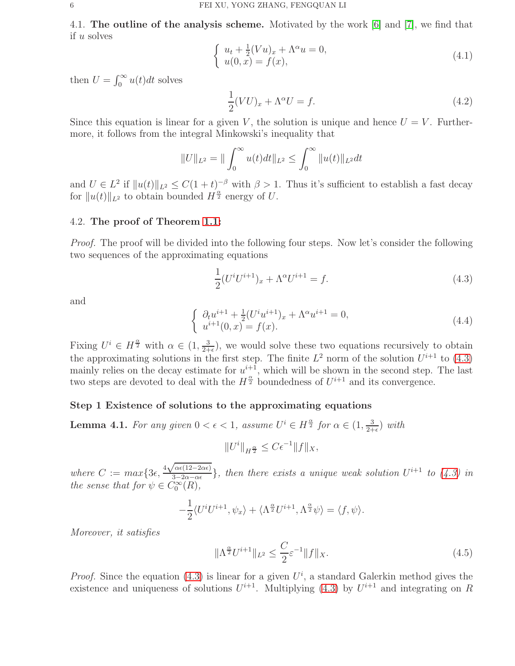4.1. The outline of the analysis scheme. Motivated by the work [\[6\]](#page-17-10) and [\[7\]](#page-17-11), we find that if u solves

$$
\begin{cases}\n u_t + \frac{1}{2}(Vu)_x + \Lambda^\alpha u = 0, \\
 u(0, x) = f(x),\n\end{cases} \n(4.1)
$$

then  $U = \int_0^\infty u(t)dt$  solves

$$
\frac{1}{2}(VU)_x + \Lambda^\alpha U = f.
$$
\n(4.2)

Since this equation is linear for a given V, the solution is unique and hence  $U = V$ . Furthermore, it follows from the integral Minkowski's inequality that

$$
||U||_{L^{2}} = ||\int_{0}^{\infty} u(t)dt||_{L^{2}} \leq \int_{0}^{\infty} ||u(t)||_{L^{2}}dt
$$

and  $U \in L^2$  if  $||u(t)||_{L^2} \leq C(1+t)^{-\beta}$  with  $\beta > 1$ . Thus it's sufficient to establish a fast decay for  $||u(t)||_{L^2}$  to obtain bounded  $H^{\frac{\alpha}{2}}$  energy of U.

## 4.2. The proof of Theorem [1.1:](#page-1-0)

*Proof.* The proof will be divided into the following four steps. Now let's consider the following two sequences of the approximating equations

<span id="page-5-0"></span>
$$
\frac{1}{2}(U^{i}U^{i+1})_{x} + \Lambda^{\alpha}U^{i+1} = f.
$$
\n(4.3)

and

<span id="page-5-2"></span>
$$
\begin{cases} \partial_t u^{i+1} + \frac{1}{2} (U^i u^{i+1})_x + \Lambda^\alpha u^{i+1} = 0, \\ u^{i+1}(0, x) = f(x). \end{cases}
$$
\n(4.4)

Fixing  $U^i \in H^{\frac{\alpha}{2}}$  with  $\alpha \in (1, \frac{3}{2+1})$  $\frac{3}{2+\epsilon}$ , we would solve these two equations recursively to obtain the approximating solutions in the first step. The finite  $L^2$  norm of the solution  $U^{i+1}$  to [\(4.3\)](#page-5-0) mainly relies on the decay estimate for  $u^{i+1}$ , which will be shown in the second step. The last two steps are devoted to deal with the  $H^{\frac{\alpha}{2}}$  boundedness of  $U^{i+1}$  and its convergence.

### Step 1 Existence of solutions to the approximating equations

<span id="page-5-3"></span>**Lemma 4.1.** For any given  $0 < \epsilon < 1$ , assume  $U^i \in H^{\frac{\alpha}{2}}$  for  $\alpha \in (1, \frac{3}{2+1})$  $\frac{3}{2+\epsilon}$ ) *with* 

$$
||U^i||_{H^{\frac{\alpha}{2}}} \leq C\epsilon^{-1}||f||_X,
$$

*where*  $C := max\{3\epsilon, \frac{4\sqrt{\alpha\epsilon(12-2\alpha\epsilon)}}{3-2\alpha-\alpha\epsilon}$  $\frac{\partial^2 \alpha \in (12-2\alpha\epsilon)}{3-2\alpha-\alpha\epsilon}$ , then there exists a unique weak solution  $U^{i+1}$  to  $(4.3)$  in *the sense that for*  $\psi \in C_0^{\infty}(R)$ *,* 

$$
-\frac{1}{2}\langle U^i U^{i+1}, \psi_x \rangle + \langle \Lambda^{\frac{\alpha}{2}} U^{i+1}, \Lambda^{\frac{\alpha}{2}} \psi \rangle = \langle f, \psi \rangle.
$$

*Moreover, it satisfies*

<span id="page-5-1"></span>
$$
\|\Lambda^{\frac{\alpha}{2}}U^{i+1}\|_{L^2} \le \frac{C}{2}\varepsilon^{-1} \|f\|_X. \tag{4.5}
$$

*Proof.* Since the equation [\(4.3\)](#page-5-0) is linear for a given  $U^i$ , a standard Galerkin method gives the existence and uniqueness of solutions  $U^{i+1}$ . Multiplying [\(4.3\)](#page-5-0) by  $U^{i+1}$  and integrating on R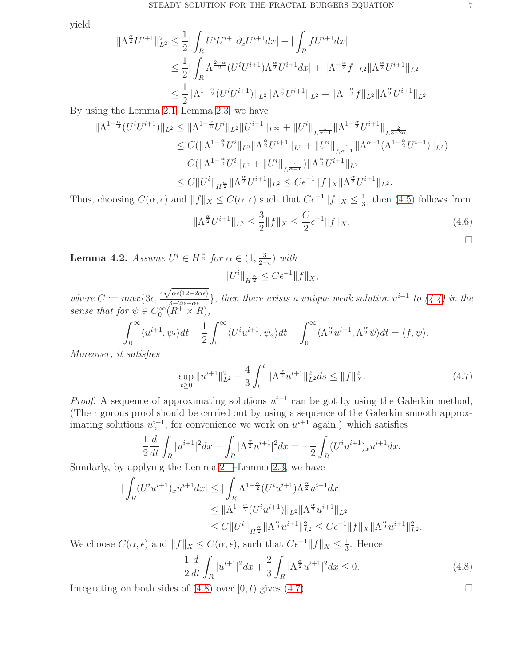yield

 $\parallel$ 

$$
\Lambda^{\frac{\alpha}{2}} U^{i+1} \|_{L^2}^2 \leq \frac{1}{2} |\int_R U^i U^{i+1} \partial_x U^{i+1} dx| + |\int_R f U^{i+1} dx|
$$
  
\n
$$
\leq \frac{1}{2} |\int_R \Lambda^{\frac{2-\alpha}{2}} (U^i U^{i+1}) \Lambda^{\frac{\alpha}{2}} U^{i+1} dx| + \|\Lambda^{-\frac{\alpha}{2}} f\|_{L^2} \|\Lambda^{\frac{\alpha}{2}} U^{i+1}\|_{L^2}
$$
  
\n
$$
\leq \frac{1}{2} \|\Lambda^{1-\frac{\alpha}{2}} (U^i U^{i+1})\|_{L^2} \|\Lambda^{\frac{\alpha}{2}} U^{i+1}\|_{L^2} + \|\Lambda^{-\frac{\alpha}{2}} f\|_{L^2} \|\Lambda^{\frac{\alpha}{2}} U^{i+1}\|_{L^2}
$$

By using the Lemma [2.1–](#page-2-2)Lemma [2.3,](#page-2-3) we have

$$
\begin{split} \|\Lambda^{1-\frac{\alpha}{2}}(U^{i}U^{i+1})\|_{L^{2}} &\leq \|\Lambda^{1-\frac{\alpha}{2}}U^{i}\|_{L^{2}}\|U^{i+1}\|_{L^{\infty}} + \|U^{i}\|_{L^{\frac{1}{\alpha-1}}}\|\Lambda^{1-\frac{\alpha}{2}}U^{i+1}\|_{L^{\frac{2}{3-2\alpha}}}\\ &\leq C(\|\Lambda^{1-\frac{\alpha}{2}}U^{i}\|_{L^{2}}\|\Lambda^{\frac{\alpha}{2}}U^{i+1}\|_{L^{2}} + \|U^{i}\|_{L^{\frac{1}{\alpha-1}}}\|\Lambda^{\alpha-1}(\Lambda^{1-\frac{\alpha}{2}}U^{i+1})\|_{L^{2}})\\ &= C(\|\Lambda^{1-\frac{\alpha}{2}}U^{i}\|_{L^{2}} + \|U^{i}\|_{L^{\frac{1}{\alpha-1}}})\|\Lambda^{\frac{\alpha}{2}}U^{i+1}\|_{L^{2}}\\ &\leq C\|U^{i}\|_{H^{\frac{\alpha}{2}}}\|\Lambda^{\frac{\alpha}{2}}U^{i+1}\|_{L^{2}} \leq C\epsilon^{-1}\|f\|_{X}\|\Lambda^{\frac{\alpha}{2}}U^{i+1}\|_{L^{2}}. \end{split}
$$

Thus, choosing  $C(\alpha, \epsilon)$  and  $||f||_X \leq C(\alpha, \epsilon)$  such that  $C\epsilon^{-1}||f||_X \leq \frac{1}{3}$  $\frac{1}{3}$ , then [\(4.5\)](#page-5-1) follows from

$$
\|\Lambda^{\frac{\alpha}{2}}U^{i+1}\|_{L^2} \le \frac{3}{2} \|f\|_X \le \frac{C}{2}\epsilon^{-1} \|f\|_X. \tag{4.6}
$$

<span id="page-6-2"></span>**Lemma 4.2.** *Assume*  $U^i \in H^{\frac{\alpha}{2}}$  for  $\alpha \in (1, \frac{3}{2+1})$  $\frac{3}{2+\epsilon}$ ) *with*  $||U^i||_{H^{\frac{\alpha}{2}}} \leq C\epsilon^{-1}||f||_X,$ 

*where*  $C := max\left\{3\epsilon, \frac{4\sqrt{\alpha\epsilon(12-2\alpha\epsilon)}}{3-2\alpha-\alpha\epsilon}\right\}$  $\frac{\sqrt{\alpha\epsilon(12-2\alpha\epsilon)}}{3-2\alpha-\alpha\epsilon}$ , then there exists a unique weak solution  $u^{i+1}$  to  $(4.4)$  in the *sense that for*  $\psi \in C_0^{\infty}(R^+ \times R)$ ,

$$
-\int_0^\infty \langle u^{i+1}, \psi_t \rangle dt - \frac{1}{2} \int_0^\infty \langle U^i u^{i+1}, \psi_x \rangle dt + \int_0^\infty \langle \Lambda^{\frac{\alpha}{2}} u^{i+1}, \Lambda^{\frac{\alpha}{2}} \psi \rangle dt = \langle f, \psi \rangle.
$$

*Moreover, it satisfies*

<span id="page-6-1"></span>
$$
\sup_{t\geq 0} \|u^{i+1}\|_{L^2}^2 + \frac{4}{3} \int_0^t \|\Lambda^{\frac{\alpha}{2}} u^{i+1}\|_{L^2}^2 ds \leq \|f\|_X^2. \tag{4.7}
$$

*Proof.* A sequence of approximating solutions  $u^{i+1}$  can be got by using the Galerkin method, (The rigorous proof should be carried out by using a sequence of the Galerkin smooth approximating solutions  $u_n^{i+1}$ , for convenience we work on  $u^{i+1}$  again.) which satisfies

$$
\frac{1}{2}\frac{d}{dt}\int_{R}|u^{i+1}|^{2}dx + \int_{R}|\Lambda^{\frac{\alpha}{2}}u^{i+1}|^{2}dx = -\frac{1}{2}\int_{R}(U^{i}u^{i+1})_{x}u^{i+1}dx.
$$

Similarly, by applying the Lemma [2.1–](#page-2-2)Lemma [2.3,](#page-2-3) we have

$$
\begin{split} \|\int_{R} (U^{i}u^{i+1})_{x}u^{i+1}dx &\leq \|\int_{R}\Lambda^{1-\frac{\alpha}{2}}(U^{i}u^{i+1})\Lambda^{\frac{\alpha}{2}}u^{i+1}dx\\ &\leq \|\Lambda^{1-\frac{\alpha}{2}}(U^{i}u^{i+1})\|_{L^{2}}\|\Lambda^{\frac{\alpha}{2}}u^{i+1}\|_{L^{2}}\\ &\leq C\|U^{i}\|_{H^{\frac{\alpha}{2}}}\|\Lambda^{\frac{\alpha}{2}}u^{i+1}\|_{L^{2}}^{2} \leq C\epsilon^{-1}\|f\|_{X}\|\Lambda^{\frac{\alpha}{2}}u^{i+1}\|_{L^{2}}^{2}.\end{split}
$$

We choose  $C(\alpha, \epsilon)$  and  $||f||_X \leq C(\alpha, \epsilon)$ , such that  $C\epsilon^{-1}||f||_X \leq \frac{1}{3}$  $\frac{1}{3}$ . Hence

<span id="page-6-0"></span>
$$
\frac{1}{2}\frac{d}{dt}\int_{R}|u^{i+1}|^{2}dx + \frac{2}{3}\int_{R}|\Lambda^{\frac{\alpha}{2}}u^{i+1}|^{2}dx \le 0.
$$
\n(4.8)

Integrating on both sides of  $(4.8)$  over  $[0, t)$  gives  $(4.7)$ .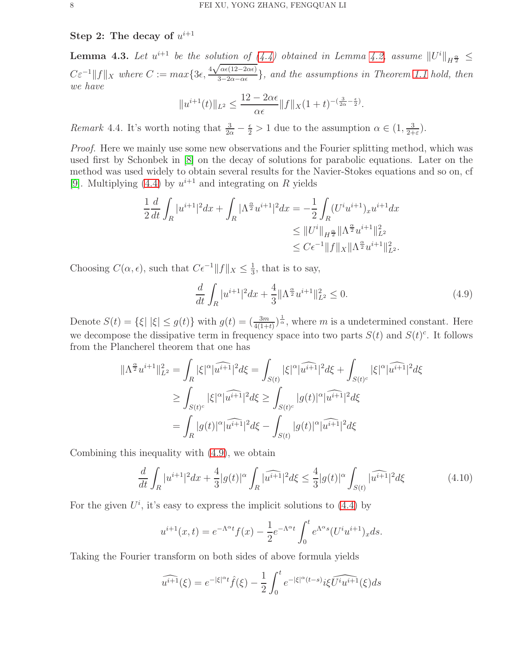Step 2: The decay of  $u^{i+1}$ 

<span id="page-7-2"></span>**Lemma 4.3.** Let  $u^{i+1}$  be the solution of  $(4.4)$  obtained in Lemma [4.2,](#page-6-2) assume  $||U^i||_{H^{\frac{\alpha}{2}}} \le$  $C\varepsilon^{-1}||f||_X$  where  $C := max\{3\epsilon, \frac{4\sqrt{\alpha\epsilon(12-2\alpha\epsilon)}}{3-2\alpha-\alpha\epsilon}\}$ 3−2α−αǫ }*, and the assumptions in Theorem [1.1](#page-1-0) hold, then we have*

$$
||u^{i+1}(t)||_{L^2} \le \frac{12 - 2\alpha\epsilon}{\alpha\epsilon} ||f||_X (1+t)^{-(\frac{3}{2\alpha} - \frac{\epsilon}{2})}.
$$

*Remark* 4.4. It's worth noting that  $\frac{3}{2\alpha} - \frac{\epsilon}{2} > 1$  due to the assumption  $\alpha \in (1, \frac{3}{2+1})$  $\frac{3}{2+\varepsilon}$ ).

*Proof.* Here we mainly use some new observations and the Fourier splitting method, which was used first by Schonbek in [\[8\]](#page-17-13) on the decay of solutions for parabolic equations. Later on the method was used widely to obtain several results for the Navier-Stokes equations and so on, cf [\[9\]](#page-17-14). Multiplying [\(4.4\)](#page-5-2) by  $u^{i+1}$  and integrating on R yields

$$
\frac{1}{2}\frac{d}{dt}\int_{R}|u^{i+1}|^{2}dx + \int_{R}|\Lambda^{\frac{\alpha}{2}}u^{i+1}|^{2}dx = -\frac{1}{2}\int_{R}(U^{i}u^{i+1})_{x}u^{i+1}dx
$$
  
\n
$$
\leq ||U^{i}||_{H^{\frac{\alpha}{2}}}\|\Lambda^{\frac{\alpha}{2}}u^{i+1}\|_{L^{2}}^{2}
$$
  
\n
$$
\leq C\epsilon^{-1}\|f\|_{X}\|\Lambda^{\frac{\alpha}{2}}u^{i+1}\|_{L^{2}}^{2}.
$$

Choosing  $C(\alpha, \epsilon)$ , such that  $C\epsilon^{-1} ||f||_X \leq \frac{1}{3}$  $\frac{1}{3}$ , that is to say,

<span id="page-7-0"></span>
$$
\frac{d}{dt} \int_{R} |u^{i+1}|^2 dx + \frac{4}{3} \|\Lambda^{\frac{\alpha}{2}} u^{i+1}\|_{L^2}^2 \le 0.
$$
\n(4.9)

Denote  $S(t) = \{\xi | |\xi| \le g(t)\}\$  with  $g(t) = \left(\frac{3m}{4(1+t)}\right)^{\frac{1}{\alpha}}$ , where m is a undetermined constant. Here we decompose the dissipative term in frequency space into two parts  $S(t)$  and  $S(t)^c$ . It follows from the Plancherel theorem that one has

$$
\|\Lambda^{\frac{\alpha}{2}}u^{i+1}\|_{L^{2}}^{2} = \int_{R}|\xi|^{\alpha}|\widehat{u^{i+1}}|^{2}d\xi = \int_{S(t)}|\xi|^{\alpha}|\widehat{u^{i+1}}|^{2}d\xi + \int_{S(t)^{c}}|\xi|^{\alpha}|\widehat{u^{i+1}}|^{2}d\xi
$$
  
\n
$$
\geq \int_{S(t)^{c}}|\xi|^{\alpha}|\widehat{u^{i+1}}|^{2}d\xi \geq \int_{S(t)^{c}}|g(t)|^{\alpha}|\widehat{u^{i+1}}|^{2}d\xi
$$
  
\n
$$
= \int_{R}|g(t)|^{\alpha}|\widehat{u^{i+1}}|^{2}d\xi - \int_{S(t)}|g(t)|^{\alpha}|\widehat{u^{i+1}}|^{2}d\xi
$$

Combining this inequality with [\(4.9\)](#page-7-0), we obtain

<span id="page-7-1"></span>
$$
\frac{d}{dt} \int_{R} |u^{i+1}|^2 dx + \frac{4}{3} |g(t)|^\alpha \int_{R} |\widehat{u^{i+1}}|^2 d\xi \le \frac{4}{3} |g(t)|^\alpha \int_{S(t)} |\widehat{u^{i+1}}|^2 d\xi \tag{4.10}
$$

For the given  $U^i$ , it's easy to express the implicit solutions to [\(4.4\)](#page-5-2) by

$$
u^{i+1}(x,t) = e^{-\Lambda^{\alpha}t} f(x) - \frac{1}{2} e^{-\Lambda^{\alpha}t} \int_0^t e^{\Lambda^{\alpha}s} (U^i u^{i+1})_x ds.
$$

Taking the Fourier transform on both sides of above formula yields

$$
\widehat{u^{i+1}}(\xi) = e^{-|\xi|^{\alpha}t}\widehat{f}(\xi) - \frac{1}{2} \int_0^t e^{-|\xi|^{\alpha}(t-s)}i\xi \widehat{U^i u^{i+1}}(\xi)ds
$$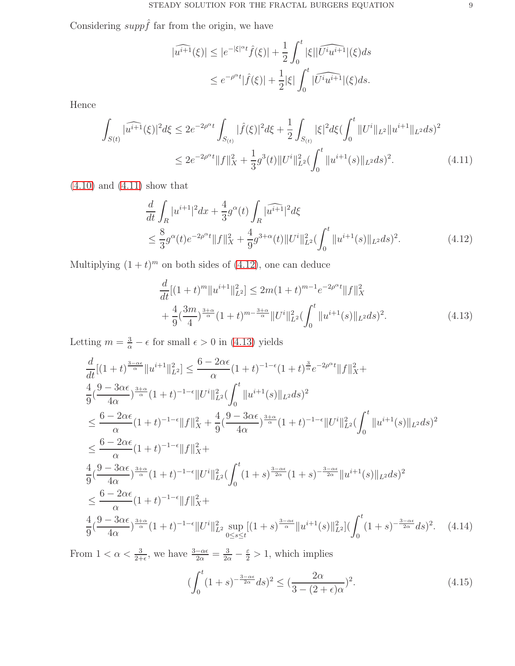Considering  $supp \hat{f}$  far from the origin, we have

<span id="page-8-0"></span>
$$
|\widehat{u^{i+1}}(\xi)| \le |e^{-|\xi|^{\alpha}t}\widehat{f}(\xi)| + \frac{1}{2} \int_0^t |\xi| |\widehat{U^i u^{i+1}}|(\xi) ds
$$
  

$$
\le e^{-\rho^{\alpha}t} |\widehat{f}(\xi)| + \frac{1}{2} |\xi| \int_0^t |\widehat{U^i u^{i+1}}|(\xi) ds.
$$

Hence

$$
\int_{S(t)} |\widehat{u^{i+1}}(\xi)|^2 d\xi \le 2e^{-2\rho^{\alpha}t} \int_{S(t)} |\widehat{f}(\xi)|^2 d\xi + \frac{1}{2} \int_{S(t)} |\xi|^2 d\xi (\int_0^t \|U^i\|_{L^2} \|u^{i+1}\|_{L^2} ds)^2
$$
  

$$
\le 2e^{-2\rho^{\alpha}t} \|f\|_X^2 + \frac{1}{3}g^3(t) \|U^i\|_{L^2}^2 (\int_0^t \|u^{i+1}(s)\|_{L^2} ds)^2.
$$
 (4.11)

 $(4.10)$  and  $(4.11)$  show that

$$
\frac{d}{dt} \int_{R} |u^{i+1}|^{2} dx + \frac{4}{3} g^{\alpha}(t) \int_{R} |\widehat{u^{i+1}}|^{2} d\xi
$$
\n
$$
\leq \frac{8}{3} g^{\alpha}(t) e^{-2\rho^{\alpha}t} \|f\|_{X}^{2} + \frac{4}{9} g^{3+\alpha}(t) \|U^{i}\|_{L^{2}}^{2} \left(\int_{0}^{t} \|u^{i+1}(s)\|_{L^{2}} ds\right)^{2}.
$$
\n(4.12)

Multiplying  $(1 + t)^m$  on both sides of  $(4.12)$ , one can deduce

<span id="page-8-2"></span><span id="page-8-1"></span>
$$
\frac{d}{dt}[(1+t)^m||u^{i+1}||_{L^2}^2] \le 2m(1+t)^{m-1}e^{-2\rho^{\alpha}t}||f||_X^2
$$
  
+ 
$$
\frac{4}{9}(\frac{3m}{4})^{\frac{3+\alpha}{\alpha}}(1+t)^{m-\frac{3+\alpha}{\alpha}}||U^i||_{L^2}^2(\int_0^t ||u^{i+1}(s)||_{L^2}ds)^2.
$$
(4.13)

Letting  $m = \frac{3}{\alpha} - \epsilon$  for small  $\epsilon > 0$  in [\(4.13\)](#page-8-2) yields

$$
\begin{split}\n&\frac{d}{dt}[(1+t)^{\frac{3-\alpha\epsilon}{\alpha}}\|u^{i+1}\|_{L^{2}}^{2}] \leq \frac{6-2\alpha\epsilon}{\alpha}(1+t)^{-1-\epsilon}(1+t)^{\frac{3}{\alpha}}e^{-2\rho^{\alpha}t}\|f\|_{X}^{2}+ \\
&\frac{4}{9}(\frac{9-3\alpha\epsilon}{4\alpha})^{\frac{3+\alpha}{\alpha}}(1+t)^{-1-\epsilon}\|U^{i}\|_{L^{2}}^{2}(\int_{0}^{t}\|u^{i+1}(s)\|_{L^{2}}ds)^{2} \\
&\leq \frac{6-2\alpha\epsilon}{\alpha}(1+t)^{-1-\epsilon}\|f\|_{X}^{2} + \frac{4}{9}(\frac{9-3\alpha\epsilon}{4\alpha})^{\frac{3+\alpha}{\alpha}}(1+t)^{-1-\epsilon}\|U^{i}\|_{L^{2}}^{2}(\int_{0}^{t}\|u^{i+1}(s)\|_{L^{2}}ds)^{2} \\
&\leq \frac{6-2\alpha\epsilon}{\alpha}(1+t)^{-1-\epsilon}\|f\|_{X}^{2}+ \\
&\frac{4}{9}(\frac{9-3\alpha\epsilon}{4\alpha})^{\frac{3+\alpha}{\alpha}}(1+t)^{-1-\epsilon}\|U^{i}\|_{L^{2}}^{2}(\int_{0}^{t}(1+s)^{\frac{3-\alpha\epsilon}{2\alpha}}(1+s)^{-\frac{3-\alpha\epsilon}{2\alpha}}\|u^{i+1}(s)\|_{L^{2}}ds)^{2} \\
&\leq \frac{6-2\alpha\epsilon}{\alpha}(1+t)^{-1-\epsilon}\|f\|_{X}^{2}+ \\
&\frac{4}{9}(\frac{9-3\alpha\epsilon}{4\alpha})^{\frac{3+\alpha}{\alpha}}(1+t)^{-1-\epsilon}\|U^{i}\|_{L^{2}}^{2}\sup_{0\leq s\leq t}[(1+s)^{\frac{3-\alpha\epsilon}{\alpha}}\|u^{i+1}(s)\|_{L^{2}}^{2}](\int_{0}^{t}(1+s)^{-\frac{3-\alpha\epsilon}{2\alpha}}ds)^{2}.\n\end{split} \tag{4.14}
$$

From  $1 < \alpha < \frac{3}{2+\epsilon}$ , we have  $\frac{3-\alpha\epsilon}{2\alpha} = \frac{3}{2\alpha} - \frac{\epsilon}{2} > 1$ , which implies

<span id="page-8-4"></span><span id="page-8-3"></span>
$$
\left(\int_0^t (1+s)^{-\frac{3-\alpha\epsilon}{2\alpha}} ds\right)^2 \le \left(\frac{2\alpha}{3 - (2+\epsilon)\alpha}\right)^2. \tag{4.15}
$$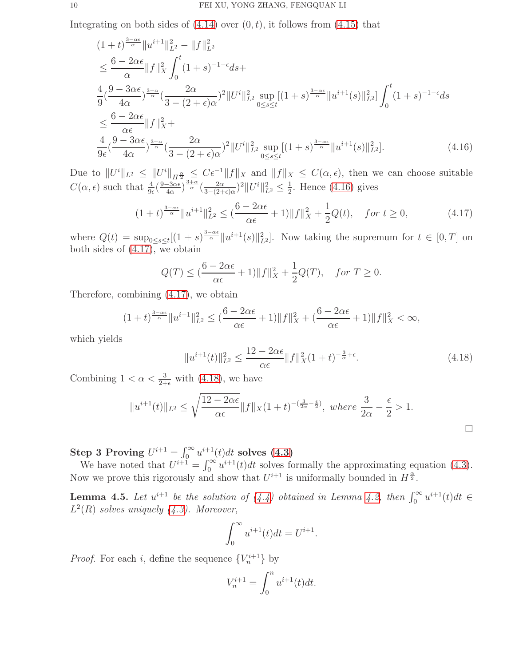Integrating on both sides of  $(4.14)$  over  $(0, t)$ , it follows from  $(4.15)$  that

$$
(1+t)^{\frac{3-\alpha\epsilon}{\alpha}}\|u^{i+1}\|_{L^{2}}^{2} - \|f\|_{L^{2}}^{2}
$$
\n
$$
\leq \frac{6-2\alpha\epsilon}{\alpha}\|f\|_{X}^{2} \int_{0}^{t} (1+s)^{-1-\epsilon}ds +
$$
\n
$$
\frac{4}{9}(\frac{9-3\alpha\epsilon}{4\alpha})^{\frac{3+\alpha}{\alpha}}(\frac{2\alpha}{3-(2+\epsilon)\alpha})^{2}\|U^{i}\|_{L^{2}}^{2} \sup_{0\leq s\leq t} [(1+s)^{\frac{3-\alpha\epsilon}{\alpha}}\|u^{i+1}(s)\|_{L^{2}}^{2}] \int_{0}^{t} (1+s)^{-1-\epsilon}ds
$$
\n
$$
\leq \frac{6-2\alpha\epsilon}{\alpha\epsilon}\|f\|_{X}^{2} +
$$
\n
$$
\frac{4}{9\epsilon}(\frac{9-3\alpha\epsilon}{4\alpha})^{\frac{3+\alpha}{\alpha}}(\frac{2\alpha}{3-(2+\epsilon)\alpha})^{2}\|U^{i}\|_{L^{2}}^{2} \sup_{0\leq s\leq t} [(1+s)^{\frac{3-\alpha\epsilon}{\alpha}}\|u^{i+1}(s)\|_{L^{2}}^{2}]. \tag{4.16}
$$

Due to  $||U^i||_{L^2} \leq ||U^i||_{H^{\frac{\alpha}{2}}} \leq C\epsilon^{-1}||f||_X$  and  $||f||_X \leq C(\alpha, \epsilon)$ , then we can choose suitable  $C(\alpha, \epsilon)$  such that  $\frac{4}{9\epsilon}(\frac{9-3\alpha\epsilon}{4\alpha})$  $\frac{-3\alpha\epsilon}{4\alpha}$ ) $\frac{3+\alpha}{\alpha}$  $\left(\frac{2\alpha}{3-(2+\alpha)}\right)$  $\frac{2\alpha}{3-(2+\epsilon)\alpha}$ <sup>2</sup> $||U^i||_{L^2}^2 \leq \frac{1}{2}$  $\frac{1}{2}$ . Hence [\(4.16\)](#page-9-0) gives

<span id="page-9-1"></span>
$$
(1+t)^{\frac{3-\alpha\epsilon}{\alpha}}\|u^{i+1}\|_{L^2}^2 \le (\frac{6-2\alpha\epsilon}{\alpha\epsilon}+1)\|f\|_X^2 + \frac{1}{2}Q(t), \quad \text{for } t \ge 0,
$$
\n(4.17)

where  $Q(t) = \sup_{0 \le s \le t} [(1+s)^{\frac{3-\alpha\epsilon}{\alpha}} ||u^{i+1}(s)||_{L^2}^2]$ . Now taking the supremum for  $t \in [0, T]$  on both sides of  $(4.17)$ , we obtain

<span id="page-9-0"></span>
$$
Q(T) \le \left(\frac{6 - 2\alpha\epsilon}{\alpha\epsilon} + 1\right) ||f||_X^2 + \frac{1}{2}Q(T), \quad \text{for } T \ge 0.
$$

Therefore, combining [\(4.17\)](#page-9-1), we obtain

$$
(1+t)^{\frac{3-\alpha\epsilon}{\alpha}}\|u^{i+1}\|_{L^2}^2 \leq (\frac{6-2\alpha\epsilon}{\alpha\epsilon}+1)\|f\|_X^2 + (\frac{6-2\alpha\epsilon}{\alpha\epsilon}+1)\|f\|_X^2 < \infty,
$$

which yields

<span id="page-9-2"></span>
$$
||u^{i+1}(t)||_{L^2}^2 \le \frac{12 - 2\alpha\epsilon}{\alpha\epsilon} ||f||_X^2 (1+t)^{-\frac{3}{\alpha}+\epsilon}.
$$
\n(4.18)

Combining  $1 < \alpha < \frac{3}{2+\epsilon}$  with [\(4.18\)](#page-9-2), we have

$$
||u^{i+1}(t)||_{L^2} \le \sqrt{\frac{12 - 2\alpha\epsilon}{\alpha\epsilon}} ||f||_X (1+t)^{-(\frac{3}{2\alpha} - \frac{\epsilon}{2})}, \text{ where } \frac{3}{2\alpha} - \frac{\epsilon}{2} > 1.
$$

Step 3 Proving  $U^{i+1} = \int_0^\infty u^{i+1}(t)dt$  solves [\(4.3\)](#page-5-0)

We have noted that  $U^{i+1} = \int_0^\infty u^{i+1}(t)dt$  solves formally the approximating equation [\(4.3\)](#page-5-0). Now we prove this rigorously and show that  $U^{i+1}$  is uniformally bounded in  $H^{\frac{\alpha}{2}}$ .

<span id="page-9-3"></span>**Lemma 4.5.** Let  $u^{i+1}$  be the solution of  $(4.4)$  obtained in Lemma [4.2,](#page-6-2) then  $\int_0^\infty u^{i+1}(t)dt \in$ L 2 (R) *solves uniquely [\(4.3\)](#page-5-0). Moreover,*

$$
\int_0^\infty u^{i+1}(t)dt = U^{i+1}.
$$

*Proof.* For each *i*, define the sequence  $\{V_n^{i+1}\}\$  by

$$
V_n^{i+1} = \int_0^n u^{i+1}(t)dt.
$$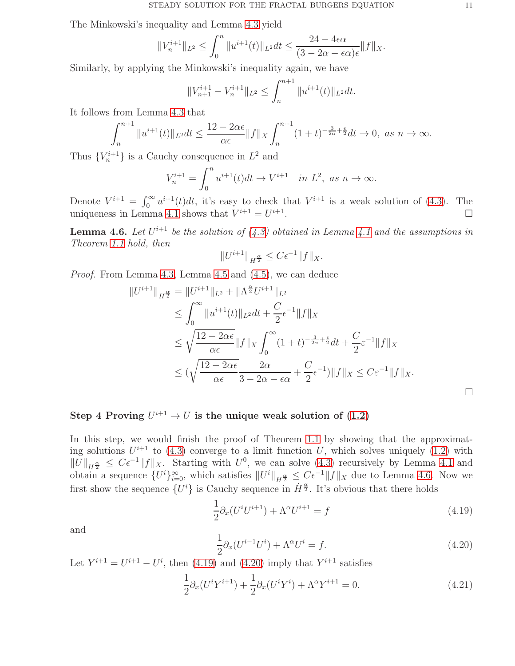The Minkowski's inequality and Lemma [4.3](#page-7-2) yield

$$
||V_n^{i+1}||_{L^2} \le \int_0^n ||u^{i+1}(t)||_{L^2} dt \le \frac{24 - 4\epsilon\alpha}{(3 - 2\alpha - \epsilon\alpha)\epsilon} ||f||_X.
$$

Similarly, by applying the Minkowski's inequality again, we have

$$
||V_{n+1}^{i+1} - V_n^{i+1}||_{L^2} \le \int_n^{n+1} ||u^{i+1}(t)||_{L^2} dt.
$$

It follows from Lemma [4.3](#page-7-2) that

$$
\int_{n}^{n+1} \|u^{i+1}(t)\|_{L^{2}} dt \leq \frac{12 - 2\alpha\epsilon}{\alpha\epsilon} \|f\|_{X} \int_{n}^{n+1} (1+t)^{-\frac{3}{2\alpha} + \frac{\epsilon}{2}} dt \to 0, \text{ as } n \to \infty.
$$

Thus  ${V_n^{i+1}}$  is a Cauchy consequence in  $L^2$  and

$$
V_n^{i+1} = \int_0^n u^{i+1}(t)dt \to V^{i+1} \quad in \ L^2, \ as \ n \to \infty.
$$

Denote  $V^{i+1} = \int_0^\infty u^{i+1}(t)dt$ , it's easy to check that  $V^{i+1}$  is a weak solution of [\(4.3\)](#page-5-0). The uniqueness in Lemma [4.1](#page-5-3) shows that  $V^{i+1} = U^{i+1}$ .

<span id="page-10-0"></span>**Lemma 4.6.** Let  $U^{i+1}$  be the solution of  $(4.3)$  obtained in Lemma [4.1](#page-5-3) and the assumptions in *Theorem [1.1](#page-1-0) hold, then*

$$
||U^{i+1}||_{H^{\frac{\alpha}{2}}} \leq C\epsilon^{-1}||f||_{X}.
$$

*Proof.* From Lemma [4.3,](#page-7-2) Lemma [4.5](#page-9-3) and [\(4.5\)](#page-5-1), we can deduce

$$
||U^{i+1}||_{H^{\frac{\alpha}{2}}} = ||U^{i+1}||_{L^{2}} + ||\Lambda^{\frac{\alpha}{2}} U^{i+1}||_{L^{2}}\n\leq \int_{0}^{\infty} ||u^{i+1}(t)||_{L^{2}} dt + \frac{C}{2} \epsilon^{-1} ||f||_{X}\n\leq \sqrt{\frac{12 - 2\alpha\epsilon}{\alpha\epsilon}} ||f||_{X} \int_{0}^{\infty} (1+t)^{-\frac{3}{2\alpha} + \frac{\epsilon}{2}} dt + \frac{C}{2} \epsilon^{-1} ||f||_{X}\n\leq (\sqrt{\frac{12 - 2\alpha\epsilon}{\alpha\epsilon}} \frac{2\alpha}{3 - 2\alpha - \epsilon\alpha} + \frac{C}{2} \epsilon^{-1}) ||f||_{X} \leq C \epsilon^{-1} ||f||_{X}.
$$

# Step 4 Proving  $U^{i+1} \rightarrow U$  is the unique weak solution of  $(1.2)$

In this step, we would finish the proof of Theorem [1.1](#page-1-0) by showing that the approximating solutions  $U^{i+1}$  to [\(4.3\)](#page-5-0) converge to a limit function U, which solves uniquely [\(1.2\)](#page-0-1) with  $||U||_{H^{\frac{\alpha}{2}}} \leq C\epsilon^{-1}||f||_{X}$ . Starting with  $U^0$ , we can solve  $(4.3)$  recursively by Lemma [4.1](#page-5-3) and obtain a sequence  $\{U^i\}_{i=0}^{\infty}$ , which satisfies  $||U^i||_{H^{\frac{\alpha}{2}}} \leq C\epsilon^{-1}||f||_X$  due to Lemma [4.6.](#page-10-0) Now we first show the sequence  $\{U^i\}$  is Cauchy sequence in  $\dot{H}^{\frac{\alpha}{2}}$ . It's obvious that there holds

<span id="page-10-1"></span>
$$
\frac{1}{2}\partial_x(U^i U^{i+1}) + \Lambda^\alpha U^{i+1} = f\tag{4.19}
$$

and

<span id="page-10-2"></span>
$$
\frac{1}{2}\partial_x (U^{i-1}U^i) + \Lambda^\alpha U^i = f.
$$
\n(4.20)

Let  $Y^{i+1} = U^{i+1} - U^i$ , then [\(4.19\)](#page-10-1) and [\(4.20\)](#page-10-2) imply that  $Y^{i+1}$  satisfies

<span id="page-10-3"></span>
$$
\frac{1}{2}\partial_x (U^i Y^{i+1}) + \frac{1}{2}\partial_x (U^i Y^i) + \Lambda^\alpha Y^{i+1} = 0.
$$
\n(4.21)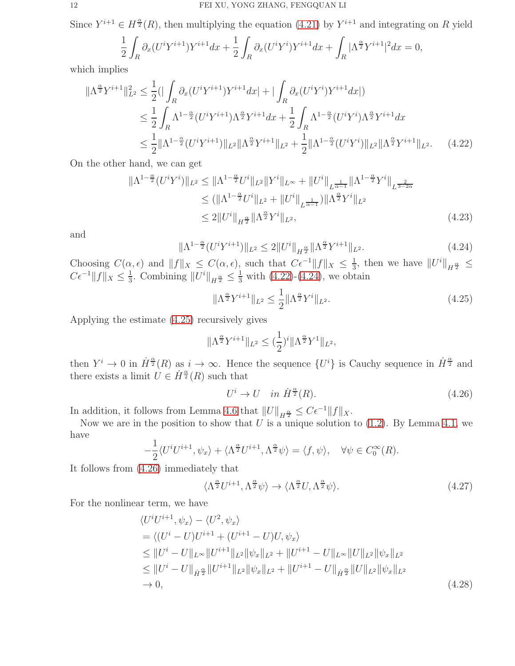Since  $Y^{i+1} \in H^{\frac{\alpha}{2}}(R)$ , then multiplying the equation [\(4.21\)](#page-10-3) by  $Y^{i+1}$  and integrating on R yield

$$
\frac{1}{2} \int_R \partial_x (U^i Y^{i+1}) Y^{i+1} dx + \frac{1}{2} \int_R \partial_x (U^i Y^i) Y^{i+1} dx + \int_R |\Lambda^{\frac{\alpha}{2}} Y^{i+1}|^2 dx = 0,
$$

which implies

$$
\|\Lambda^{\frac{\alpha}{2}}Y^{i+1}\|_{L^{2}}^{2} \leq \frac{1}{2} \left( \left| \int_{R} \partial_{x} (U^{i}Y^{i+1})Y^{i+1} dx \right| + \left| \int_{R} \partial_{x} (U^{i}Y^{i})Y^{i+1} dx \right| \right)
$$
  
\n
$$
\leq \frac{1}{2} \int_{R} \Lambda^{1-\frac{\alpha}{2}} (U^{i}Y^{i+1}) \Lambda^{\frac{\alpha}{2}} Y^{i+1} dx + \frac{1}{2} \int_{R} \Lambda^{1-\frac{\alpha}{2}} (U^{i}Y^{i}) \Lambda^{\frac{\alpha}{2}} Y^{i+1} dx
$$
  
\n
$$
\leq \frac{1}{2} \|\Lambda^{1-\frac{\alpha}{2}} (U^{i}Y^{i+1})\|_{L^{2}} \|\Lambda^{\frac{\alpha}{2}} Y^{i+1}\|_{L^{2}} + \frac{1}{2} \|\Lambda^{1-\frac{\alpha}{2}} (U^{i}Y^{i})\|_{L^{2}} \|\Lambda^{\frac{\alpha}{2}} Y^{i+1}\|_{L^{2}}.
$$
 (4.22)

On the other hand, we can get

$$
\|\Lambda^{1-\frac{\alpha}{2}}(U^{i}Y^{i})\|_{L^{2}} \leq \|\Lambda^{1-\frac{\alpha}{2}}U^{i}\|_{L^{2}}\|Y^{i}\|_{L^{\infty}} + \|U^{i}\|_{L^{\frac{1}{\alpha-1}}}\|\Lambda^{1-\frac{\alpha}{2}}Y^{i}\|_{L^{\frac{2}{3-2\alpha}}}
$$
  
\n
$$
\leq (\|\Lambda^{1-\frac{\alpha}{2}}U^{i}\|_{L^{2}} + \|U^{i}\|_{L^{\frac{1}{\alpha-1}}})\|\Lambda^{\frac{\alpha}{2}}Y^{i}\|_{L^{2}}
$$
  
\n
$$
\leq 2\|U^{i}\|_{H^{\frac{\alpha}{2}}}\|\Lambda^{\frac{\alpha}{2}}Y^{i}\|_{L^{2}}, \qquad (4.23)
$$

and

<span id="page-11-1"></span>
$$
\|\Lambda^{1-\frac{\alpha}{2}}(U^{i}Y^{i+1})\|_{L^{2}} \le 2\|U^{i}\|_{H^{\frac{\alpha}{2}}}\|\Lambda^{\frac{\alpha}{2}}Y^{i+1}\|_{L^{2}}.\tag{4.24}
$$

Choosing  $C(\alpha, \epsilon)$  and  $||f||_X \leq C(\alpha, \epsilon)$ , such that  $C\epsilon^{-1}||f||_X \leq \frac{1}{3}$  $\frac{1}{3}$ , then we have  $||U^i||_{H^{\frac{\alpha}{2}}} \leq$  $C\epsilon^{-1} ||f||_X \leq \frac{1}{3}$  $\frac{1}{3}$ . Combining  $||U^i||_{H^{\frac{\alpha}{2}}} \leq \frac{1}{3}$  with [\(4.22\)](#page-11-0)-[\(4.24\)](#page-11-1), we obtain

<span id="page-11-2"></span><span id="page-11-0"></span>
$$
\|\Lambda^{\frac{\alpha}{2}}Y^{i+1}\|_{L^2} \le \frac{1}{2} \|\Lambda^{\frac{\alpha}{2}}Y^i\|_{L^2}.
$$
\n(4.25)

Applying the estimate [\(4.25\)](#page-11-2) recursively gives

$$
\|\Lambda^{\frac{\alpha}{2}}Y^{i+1}\|_{L^2}\le(\frac{1}{2})^i\|\Lambda^{\frac{\alpha}{2}}Y^1\|_{L^2},
$$

then  $Y^i \to 0$  in  $\dot{H}^{\frac{\alpha}{2}}(R)$  as  $i \to \infty$ . Hence the sequence  $\{U^i\}$  is Cauchy sequence in  $\dot{H}^{\frac{\alpha}{2}}$  and there exists a limit  $\hat{U} \in \dot{H}^{\frac{\alpha}{2}}(R)$  such that

<span id="page-11-3"></span>
$$
U^i \to U \quad in \ \dot{H}^{\frac{\alpha}{2}}(R). \tag{4.26}
$$

In addition, it follows from Lemma [4.6](#page-10-0) that  $||U||_{H^{\frac{\alpha}{2}}} \leq C\epsilon^{-1}||f||_{X}$ .

Now we are in the position to show that U is a unique solution to  $(1.2)$ . By Lemma [4.1,](#page-5-3) we have

$$
-\frac{1}{2}\langle U^i U^{i+1}, \psi_x \rangle + \langle \Lambda^{\frac{\alpha}{2}} U^{i+1}, \Lambda^{\frac{\alpha}{2}} \psi \rangle = \langle f, \psi \rangle, \quad \forall \psi \in C_0^{\infty}(R).
$$

It follows from [\(4.26\)](#page-11-3) immediately that

<span id="page-11-5"></span><span id="page-11-4"></span>
$$
\langle \Lambda^{\frac{\alpha}{2}} U^{i+1}, \Lambda^{\frac{\alpha}{2}} \psi \rangle \to \langle \Lambda^{\frac{\alpha}{2}} U, \Lambda^{\frac{\alpha}{2}} \psi \rangle. \tag{4.27}
$$

For the nonlinear term, we have

$$
\langle U^{i}U^{i+1}, \psi_{x} \rangle - \langle U^{2}, \psi_{x} \rangle
$$
  
=  $\langle (U^{i} - U)U^{i+1} + (U^{i+1} - U)U, \psi_{x} \rangle$   
 $\leq ||U^{i} - U||_{L^{\infty}}||U^{i+1}||_{L^{2}}||\psi_{x}||_{L^{2}} + ||U^{i+1} - U||_{L^{\infty}}||U||_{L^{2}}||\psi_{x}||_{L^{2}} $\leq ||U^{i} - U||_{\dot{H}^{\frac{\alpha}{2}}}||U^{i+1}||_{L^{2}}||\psi_{x}||_{L^{2}} + ||U^{i+1} - U||_{\dot{H}^{\frac{\alpha}{2}}}||U||_{L^{2}}||\psi_{x}||_{L^{2}}\to 0,$  (4.28)$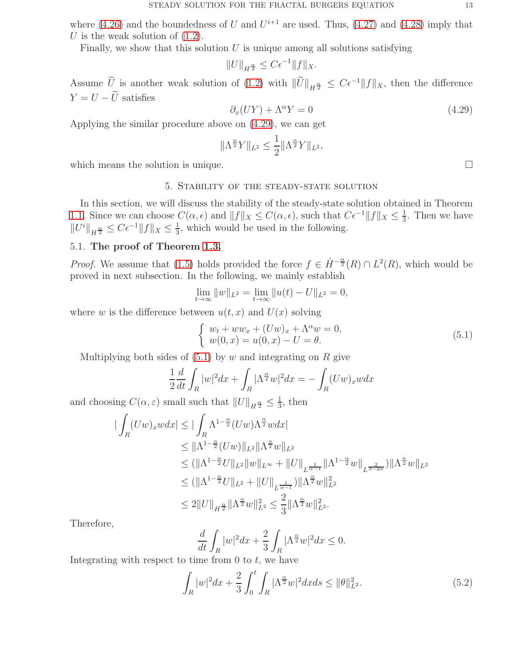where [\(4.26\)](#page-11-3) and the boundedness of U and  $U^{i+1}$  are used. Thus, [\(4.27\)](#page-11-4) and [\(4.28\)](#page-11-5) imply that U is the weak solution of  $(1.2)$ .

Finally, we show that this solution  $U$  is unique among all solutions satisfying

$$
||U||_{H^{\frac{\alpha}{2}}} \leq C\epsilon^{-1}||f||_X.
$$

Assume U is another weak solution of [\(1.2\)](#page-0-1) with  $||\overline{U}||_{H^{\frac{\alpha}{2}}} \leq C\epsilon^{-1}||f||_{X}$ , then the difference  $Y = U - \widetilde{U}$  satisfies

<span id="page-12-0"></span>
$$
\partial_x (UY) + \Lambda^\alpha Y = 0 \tag{4.29}
$$

Applying the similar procedure above on [\(4.29\)](#page-12-0), we can get

$$
\|\Lambda^{\frac{\alpha}{2}}Y\|_{L^2}\leq \frac{1}{2}\|\Lambda^{\frac{\alpha}{2}}Y\|_{L^2},
$$

which means the solution is unique.  $\Box$ 

## 5. Stability of the steady-state solution

In this section, we will discuss the stability of the steady-state solution obtained in Theorem [1.1.](#page-1-0) Since we can choose  $C(\alpha, \epsilon)$  and  $||f||_X \leq C(\alpha, \epsilon)$ , such that  $C\epsilon^{-1}||f||_X \leq \frac{1}{3}$  $\frac{1}{3}$ . Then we have  $||U^i||_{H^{\frac{\alpha}{2}}} \leq C\epsilon^{-1}||f||_X \leq \frac{1}{3}$  $\frac{1}{3}$ , which would be used in the following.

## 5.1. The proof of Theorem [1.3.](#page-1-1)

*Proof.* We assume that [\(1.5\)](#page-1-2) holds provided the force  $f \in \dot{H}^{-\frac{\alpha}{2}}(R) \cap L^2(R)$ , which would be proved in next subsection. In the following, we mainly establish

$$
\lim_{t \to \infty} ||w||_{L^2} = \lim_{t \to \infty} ||u(t) - U||_{L^2} = 0,
$$

where w is the difference between  $u(t, x)$  and  $U(x)$  solving

<span id="page-12-1"></span>
$$
\begin{cases}\nw_t + ww_x + (Uw)_x + \Lambda^{\alpha} w = 0, \\
w(0, x) = u(0, x) - U = \theta.\n\end{cases}
$$
\n(5.1)

Multiplying both sides of  $(5.1)$  by w and integrating on R give

$$
\frac{1}{2}\frac{d}{dt}\int_{R}|w|^{2}dx + \int_{R}|\Lambda^{\frac{\alpha}{2}}w|^{2}dx = -\int_{R}(Uw)_{x}wdx
$$

and choosing  $C(\alpha, \varepsilon)$  small such that  $||U||_{H^{\frac{\alpha}{2}}} \leq \frac{1}{3}$  $\frac{1}{3}$ , then

$$
\begin{split}\n| \int_{R} (Uw)_{x} w dx & \leq |\int_{R} \Lambda^{1-\frac{\alpha}{2}} (Uw) \Lambda^{\frac{\alpha}{2}} w dx | \\
&\leq \|\Lambda^{1-\frac{\alpha}{2}} (Uw) \|_{L^{2}} \|\Lambda^{\frac{\alpha}{2}} w \|_{L^{2}} \\
&\leq (\|\Lambda^{1-\frac{\alpha}{2}} U \|_{L^{2}} \|w\|_{L^{\infty}} + \|U\|_{L^{\frac{1}{\alpha-1}}} \|\Lambda^{1-\frac{\alpha}{2}} w\|_{L^{\frac{2}{3-2\alpha}}}) \|\Lambda^{\frac{\alpha}{2}} w\|_{L^{2}} \\
&\leq (\|\Lambda^{1-\frac{\alpha}{2}} U \|_{L^{2}} + \|U\|_{L^{\frac{1}{\alpha-1}}}) \|\Lambda^{\frac{\alpha}{2}} w\|_{L^{2}}^{2} \\
&\leq 2 \|U\|_{H^{\frac{\alpha}{2}}}\|\Lambda^{\frac{\alpha}{2}} w\|_{L^{2}}^{2} \leq \frac{2}{3} \|\Lambda^{\frac{\alpha}{2}} w\|_{L^{2}}^{2}.\n\end{split}
$$

Therefore,

$$
\frac{d}{dt} \int_{R} |w|^2 dx + \frac{2}{3} \int_{R} |\Lambda^{\frac{\alpha}{2}} w|^2 dx \le 0.
$$

Integrating with respect to time from  $0$  to  $t$ , we have

<span id="page-12-2"></span>
$$
\int_{R} |w|^2 dx + \frac{2}{3} \int_0^t \int_{R} |\Lambda^{\frac{\alpha}{2}} w|^2 dx ds \le ||\theta||_{L^2}^2.
$$
\n(5.2)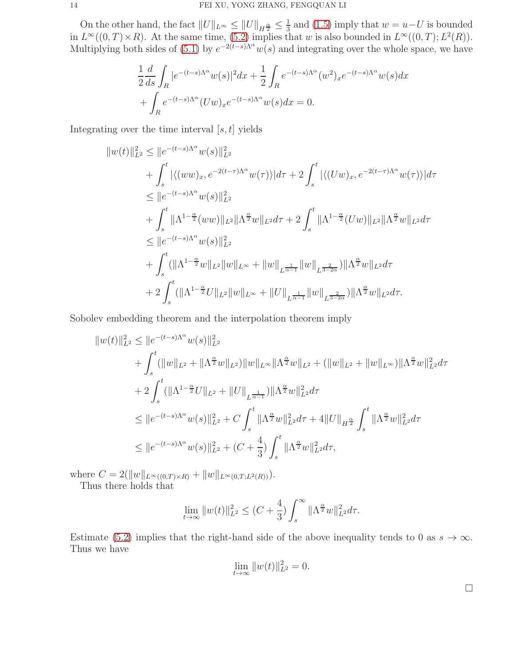On the other hand, the fact  $||U||_{L^{\infty}} \le ||U||_{H^{\frac{\alpha}{2}}} \le \frac{1}{3}$  $\frac{1}{3}$  and [\(1.5\)](#page-1-2) imply that  $w = u - U$  is bounded in  $L^{\infty}((0,T)\times R)$ . At the same time, [\(5.2\)](#page-12-2) implies that w is also bounded in  $L^{\infty}((0,T); L^2(R))$ . Multiplying both sides of [\(5.1\)](#page-12-1) by  $e^{-2(t-s)\Lambda^{\alpha}}w(s)$  and integrating over the whole space, we have

$$
\frac{1}{2}\frac{d}{ds}\int_{R} |e^{-(t-s)\Lambda^{\alpha}}w(s)|^{2}dx + \frac{1}{2}\int_{R} e^{-(t-s)\Lambda^{\alpha}}(w^{2})_{x}e^{-(t-s)\Lambda^{\alpha}}w(s)dx \n+ \int_{R} e^{-(t-s)\Lambda^{\alpha}}(Uw)_{x}e^{-(t-s)\Lambda^{\alpha}}w(s)dx = 0.
$$

Integrating over the time interval  $[s, t]$  yields

$$
||w(t)||_{L^{2}}^{2} \leq ||e^{-(t-s)\Lambda^{\alpha}}w(s)||_{L^{2}}^{2}
$$
  
+  $\int_{s}^{t} |\langle (ww)_{x}, e^{-2(t-\tau)\Lambda^{\alpha}}w(\tau) \rangle| d\tau + 2 \int_{s}^{t} |\langle (Uw)_{x}, e^{-2(t-\tau)\Lambda^{\alpha}}w(\tau) \rangle| d\tau$   
 $\leq ||e^{-(t-s)\Lambda^{\alpha}}w(s)||_{L^{2}}^{2}$   
+  $\int_{s}^{t} ||\Lambda^{1-\frac{\alpha}{2}}(ww)||_{L^{2}} ||\Lambda^{\frac{\alpha}{2}}w||_{L^{2}} d\tau + 2 \int_{s}^{t} ||\Lambda^{1-\frac{\alpha}{2}}(Uw)||_{L^{2}} ||\Lambda^{\frac{\alpha}{2}}w||_{L^{2}} d\tau$   
 $\leq ||e^{-(t-s)\Lambda^{\alpha}}w(s)||_{L^{2}}^{2}$   
+  $\int_{s}^{t} (||\Lambda^{1-\frac{\alpha}{2}}w||_{L^{2}} ||w||_{L^{\infty}} + ||w||_{L^{\frac{1}{\alpha-1}}} ||w||_{L^{\frac{2}{3-2\alpha}}}) ||\Lambda^{\frac{\alpha}{2}}w||_{L^{2}} d\tau$   
+  $2 \int_{s}^{t} (||\Lambda^{1-\frac{\alpha}{2}}U||_{L^{2}} ||w||_{L^{\infty}} + ||U||_{L^{\frac{1}{\alpha-1}}} ||w||_{L^{\frac{2}{3-2\alpha}}}) ||\Lambda^{\frac{\alpha}{2}}w||_{L^{2}} d\tau.$ 

Sobolev embedding theorem and the interpolation theorem imply

$$
\|w(t)\|_{L^{2}}^{2} \leq \|e^{-(t-s)\Lambda^{\alpha}}w(s)\|_{L^{2}}^{2} \n+ \int_{s}^{t} (\|w\|_{L^{2}} + \|\Lambda^{\frac{\alpha}{2}}w\|_{L^{2}}) \|w\|_{L^{\infty}} \|\Lambda^{\frac{\alpha}{2}}w\|_{L^{2}} + (\|w\|_{L^{2}} + \|w\|_{L^{\infty}}) \|\Lambda^{\frac{\alpha}{2}}w\|_{L^{2}}^{2} d\tau \n+ 2 \int_{s}^{t} (\|\Lambda^{1-\frac{\alpha}{2}}U\|_{L^{2}} + \|U\|_{L^{\frac{1}{\alpha-1}}}) \|\Lambda^{\frac{\alpha}{2}}w\|_{L^{2}}^{2} d\tau \n\leq \|e^{-(t-s)\Lambda^{\alpha}}w(s)\|_{L^{2}}^{2} + C \int_{s}^{t} \|\Lambda^{\frac{\alpha}{2}}w\|_{L^{2}}^{2} d\tau + 4 \|U\|_{H^{\frac{\alpha}{2}}}\int_{s}^{t} \|\Lambda^{\frac{\alpha}{2}}w\|_{L^{2}}^{2} d\tau \n\leq \|e^{-(t-s)\Lambda^{\alpha}}w(s)\|_{L^{2}}^{2} + (C+\frac{4}{3}) \int_{s}^{t} \|\Lambda^{\frac{\alpha}{2}}w\|_{L^{2}}^{2} d\tau,
$$

where  $C = 2(||w||_{L^{\infty}((0,T)\times R)} + ||w||_{L^{\infty}(0,T;L^2(R))}).$ 

Thus there holds that

$$
\lim_{t \to \infty} ||w(t)||_{L^2}^2 \le (C + \frac{4}{3}) \int_s^{\infty} ||\Lambda^{\frac{\alpha}{2}} w||_{L^2}^2 d\tau.
$$

Estimate [\(5.2\)](#page-12-2) implies that the right-hand side of the above inequality tends to 0 as  $s \to \infty$ . Thus we have

$$
\lim_{t \to \infty} ||w(t)||_{L^2}^2 = 0.
$$

 $\Box$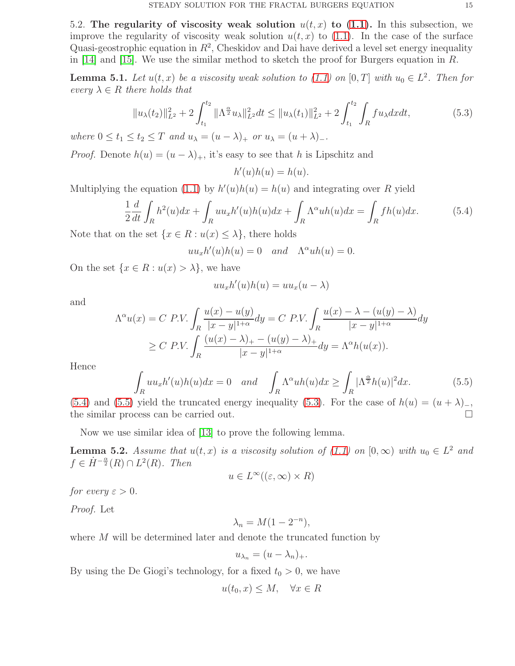5.2. The regularity of viscosity weak solution  $u(t, x)$  to [\(1.1\)](#page-0-0). In this subsection, we improve the regularity of viscosity weak solution  $u(t, x)$  to [\(1.1\)](#page-0-0). In the case of the surface Quasi-geostrophic equation in  $R^2$ , Cheskidov and Dai have derived a level set energy inequality in [\[14\]](#page-17-15) and [\[15\]](#page-17-16). We use the similar method to sketch the proof for Burgers equation in R.

**Lemma 5.1.** Let  $u(t, x)$  be a viscosity weak solution to  $(1.1)$  on  $[0, T]$  with  $u_0 \in L^2$ . Then for *every*  $\lambda \in R$  *there holds that* 

<span id="page-14-2"></span>
$$
||u_{\lambda}(t_2)||_{L^2}^2 + 2\int_{t_1}^{t_2} ||\Lambda^{\frac{\alpha}{2}} u_{\lambda}||_{L^2}^2 dt \le ||u_{\lambda}(t_1)||_{L^2}^2 + 2\int_{t_1}^{t_2} \int_R fu_{\lambda} dx dt,
$$
 (5.3)

*where*  $0 \le t_1 \le t_2 \le T$  *and*  $u_\lambda = (u - \lambda)_+$  *or*  $u_\lambda = (u + \lambda)_-$ *.* 

*Proof.* Denote  $h(u) = (u - \lambda)_+$ , it's easy to see that h is Lipschitz and

 $h'(u)h(u) = h(u).$ 

Multiplying the equation [\(1.1\)](#page-0-0) by  $h'(u)h(u) = h(u)$  and integrating over R yield

<span id="page-14-0"></span>
$$
\frac{1}{2}\frac{d}{dt}\int_{R}h^{2}(u)dx + \int_{R}uu_{x}h'(u)h(u)dx + \int_{R}\Lambda^{\alpha}uh(u)dx = \int_{R}fh(u)dx.
$$
\n(5.4)

Note that on the set  $\{x \in R : u(x) \leq \lambda\}$ , there holds

 $uu_xh'(u)h(u) = 0$  and  $\Lambda^{\alpha}uh(u) = 0.$ 

On the set  $\{x \in R : u(x) > \lambda\}$ , we have

$$
uu_xh'(u)h(u) = uu_x(u - \lambda)
$$

and

$$
\Lambda^{\alpha}u(x) = C \ P.V. \int_{R} \frac{u(x) - u(y)}{|x - y|^{1 + \alpha}} dy = C \ P.V. \int_{R} \frac{u(x) - \lambda - (u(y) - \lambda)}{|x - y|^{1 + \alpha}} dy
$$

$$
\geq C \ P.V. \int_{R} \frac{(u(x) - \lambda)_{+} - (u(y) - \lambda)_{+}}{|x - y|^{1 + \alpha}} dy = \Lambda^{\alpha}h(u(x)).
$$

Hence

<span id="page-14-1"></span>
$$
\int_{R} u u_x h'(u) h(u) dx = 0 \quad and \quad \int_{R} \Lambda^{\alpha} u h(u) dx \ge \int_{R} |\Lambda^{\frac{\alpha}{2}} h(u)|^2 dx. \tag{5.5}
$$

[\(5.4\)](#page-14-0) and [\(5.5\)](#page-14-1) yield the truncated energy inequality [\(5.3\)](#page-14-2). For the case of  $h(u) = (u + \lambda)$ <sub>-</sub>, the similar process can be carried out.

Now we use similar idea of [\[13\]](#page-17-0) to prove the following lemma.

**Lemma 5.2.** Assume that  $u(t, x)$  is a viscosity solution of [\(1.1\)](#page-0-0) on  $[0, \infty)$  with  $u_0 \in L^2$  and  $f \in \dot{H}^{-\frac{\alpha}{2}}(R) \cap L^2(R)$ . Then

$$
u \in L^{\infty}((\varepsilon, \infty) \times R)
$$

*for every*  $\varepsilon > 0$ *.* 

*Proof.* Let

$$
\lambda_n = M(1 - 2^{-n}),
$$

where M will be determined later and denote the truncated function by

$$
u_{\lambda_n} = (u - \lambda_n)_+.
$$

By using the De Giogi's technology, for a fixed  $t_0 > 0$ , we have

$$
u(t_0, x) \le M, \quad \forall x \in R
$$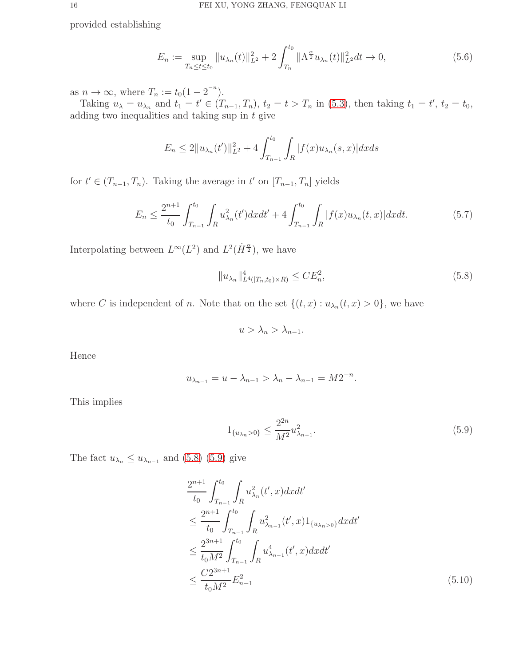provided establishing

$$
E_n := \sup_{T_n \le t \le t_0} \|u_{\lambda_n}(t)\|_{L^2}^2 + 2 \int_{T_n}^{t_0} \|\Lambda^{\frac{\alpha}{2}} u_{\lambda_n}(t)\|_{L^2}^2 dt \to 0,
$$
\n(5.6)

as  $n \to \infty$ , where  $T_n := t_0(1 - 2^{-n}).$ 

Taking  $u_{\lambda} = u_{\lambda_n}$  and  $t_1 = t' \in (T_{n-1}, T_n)$ ,  $t_2 = t > T_n$  in [\(5.3\)](#page-14-2), then taking  $t_1 = t'$ ,  $t_2 = t_0$ , adding two inequalities and taking sup in  $t$  give

$$
E_n \le 2||u_{\lambda_n}(t')||_{L^2}^2 + 4\int_{T_{n-1}}^{t_0} \int_R |f(x)u_{\lambda_n}(s,x)| dx ds
$$

for  $t' \in (T_{n-1}, T_n)$ . Taking the average in  $t'$  on  $[T_{n-1}, T_n]$  yields

<span id="page-15-2"></span>
$$
E_n \le \frac{2^{n+1}}{t_0} \int_{T_{n-1}}^{t_0} \int_R u_{\lambda_n}^2(t') dx dt' + 4 \int_{T_{n-1}}^{t_0} \int_R |f(x)u_{\lambda_n}(t,x)| dx dt.
$$
 (5.7)

Interpolating between  $L^{\infty}(L^2)$  and  $L^2(\dot{H}^{\frac{\alpha}{2}})$ , we have

<span id="page-15-0"></span>
$$
||u_{\lambda_n}||_{L^4([T_n,t_0)\times R)}^4 \le CE_n^2,
$$
\n(5.8)

where C is independent of n. Note that on the set  $\{(t, x) : u_{\lambda_n}(t, x) > 0\}$ , we have

$$
u > \lambda_n > \lambda_{n-1}.
$$

Hence

$$
u_{\lambda_{n-1}} = u - \lambda_{n-1} > \lambda_n - \lambda_{n-1} = M 2^{-n}
$$

This implies

<span id="page-15-1"></span>
$$
1_{\{u_{\lambda_n} > 0\}} \le \frac{2^{2n}}{M^2} u_{\lambda_{n-1}}^2.
$$
\n(5.9)

<span id="page-15-3"></span>.

The fact  $u_{\lambda_n} \leq u_{\lambda_{n-1}}$  and [\(5.8\)](#page-15-0) [\(5.9\)](#page-15-1) give

$$
\frac{2^{n+1}}{t_0} \int_{T_{n-1}}^{t_0} \int_R u_{\lambda_n}^2(t',x) dx dt'
$$
\n
$$
\leq \frac{2^{n+1}}{t_0} \int_{T_{n-1}}^{t_0} \int_R u_{\lambda_{n-1}}^2(t',x) 1_{\{u_{\lambda_n}>0\}} dx dt'
$$
\n
$$
\leq \frac{2^{3n+1}}{t_0 M^2} \int_{T_{n-1}}^{t_0} \int_R u_{\lambda_{n-1}}^4(t',x) dx dt'
$$
\n
$$
\leq \frac{C 2^{3n+1}}{t_0 M^2} E_{n-1}^2
$$
\n(5.10)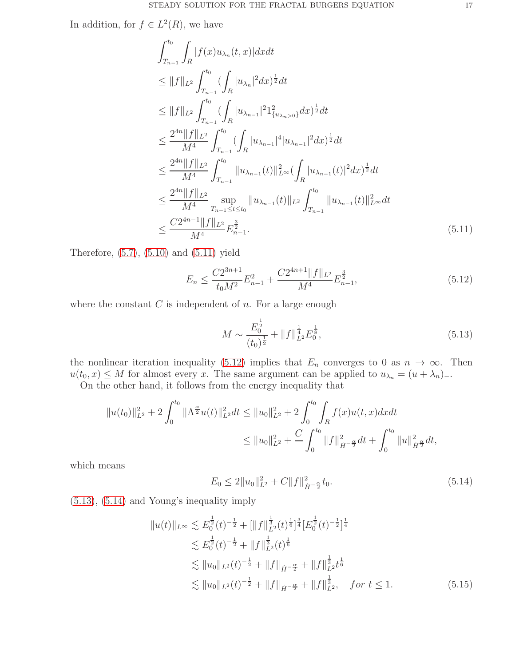In addition, for  $f \in L^2(R)$ , we have

$$
\int_{T_{n-1}}^{t_0} \int_R |f(x)u_{\lambda_n}(t,x)| dx dt
$$
\n
$$
\leq \|f\|_{L^2} \int_{T_{n-1}}^{t_0} (\int_R |u_{\lambda_n}|^2 dx)^{\frac{1}{2}} dt
$$
\n
$$
\leq \|f\|_{L^2} \int_{T_{n-1}}^{t_0} (\int_R |u_{\lambda_{n-1}}|^2 1_{\{u_{\lambda_n}>0\}}^2 dx)^{\frac{1}{2}} dt
$$
\n
$$
\leq \frac{2^{4n} \|f\|_{L^2}}{M^4} \int_{T_{n-1}}^{t_0} (\int_R |u_{\lambda_{n-1}}|^4 |u_{\lambda_{n-1}}|^2 dx)^{\frac{1}{2}} dt
$$
\n
$$
\leq \frac{2^{4n} \|f\|_{L^2}}{M^4} \int_{T_{n-1}}^{t_0} \|u_{\lambda_{n-1}}(t)\|_{L^\infty}^2 (\int_R |u_{\lambda_{n-1}}(t)|^2 dx)^{\frac{1}{2}} dt
$$
\n
$$
\leq \frac{2^{4n} \|f\|_{L^2}}{M^4} \sup_{T_{n-1}\leq t \leq t_0} \|u_{\lambda_{n-1}}(t)\|_{L^2} \int_{T_{n-1}}^{t_0} \|u_{\lambda_{n-1}}(t)\|_{L^\infty}^2 dt
$$
\n
$$
\leq \frac{C2^{4n-1} \|f\|_{L^2}}{M^4} E_{n-1}^{\frac{3}{2}}.
$$
\n(5.11)

Therefore,  $(5.7)$ ,  $(5.10)$  and  $(5.11)$  yield

<span id="page-16-1"></span>
$$
E_n \le \frac{C2^{3n+1}}{t_0 M^2} E_{n-1}^2 + \frac{C2^{4n+1} \|f\|_{L^2}}{M^4} E_{n-1}^{\frac{3}{2}},\tag{5.12}
$$

where the constant  $C$  is independent of  $n$ . For a large enough

<span id="page-16-2"></span><span id="page-16-0"></span>
$$
M \sim \frac{E_0^{\frac{1}{2}}}{(t_0)^{\frac{1}{2}}} + ||f||_{L^2}^{\frac{1}{4}} E_0^{\frac{1}{8}},
$$
\n(5.13)

the nonlinear iteration inequality [\(5.12\)](#page-16-1) implies that  $E_n$  converges to 0 as  $n \to \infty$ . Then  $u(t_0, x) \leq M$  for almost every x. The same argument can be applied to  $u_{\lambda_n} = (u + \lambda_n)_-.$ 

On the other hand, it follows from the energy inequality that

$$
||u(t_0)||_{L^2}^2 + 2\int_0^{t_0} ||\Lambda^{\frac{\alpha}{2}}u(t)||_{L^2}^2 dt \le ||u_0||_{L^2}^2 + 2\int_0^{t_0} \int_R f(x)u(t,x)dxdt
$$
  

$$
\le ||u_0||_{L^2}^2 + \frac{C}{\int_0^{t_0} ||f||_{\dot{H}^{-\frac{\alpha}{2}}}^2 dt + \int_0^{t_0} ||u||_{\dot{H}^{\frac{\alpha}{2}}}^2 dt,
$$

which means

<span id="page-16-4"></span><span id="page-16-3"></span>
$$
E_0 \le 2||u_0||_{L^2}^2 + C||f||_{\dot{H}^{-\frac{\alpha}{2}}}^2 t_0. \tag{5.14}
$$

[\(5.13\)](#page-16-2), [\(5.14\)](#page-16-3) and Young's inequality imply

$$
||u(t)||_{L^{\infty}} \lesssim E_0^{\frac{1}{2}}(t)^{-\frac{1}{2}} + [||f||_{L^2}^{\frac{1}{3}}(t)^{\frac{1}{6}}]^{\frac{3}{4}} [E_0^{\frac{1}{2}}(t)^{-\frac{1}{2}}]^{\frac{1}{4}} \n\lesssim E_0^{\frac{1}{2}}(t)^{-\frac{1}{2}} + ||f||_{L^2}^{\frac{1}{3}}(t)^{\frac{1}{6}} \n\lesssim ||u_0||_{L^2}(t)^{-\frac{1}{2}} + ||f||_{\dot{H}^{-\frac{\alpha}{2}}} + ||f||_{L^2}^{\frac{1}{3}}t^{\frac{1}{6}} \n\lesssim ||u_0||_{L^2}(t)^{-\frac{1}{2}} + ||f||_{\dot{H}^{-\frac{\alpha}{2}}} + ||f||_{L^2}^{\frac{1}{3}}, \quad \text{for } t \le 1.
$$
\n(5.15)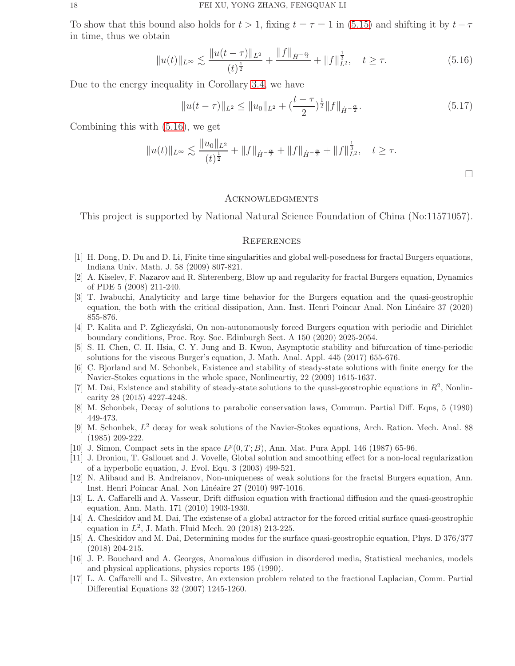To show that this bound also holds for  $t > 1$ , fixing  $t = \tau = 1$  in [\(5.15\)](#page-16-4) and shifting it by  $t - \tau$ in time, thus we obtain

<span id="page-17-17"></span>
$$
||u(t)||_{L^{\infty}} \lesssim \frac{||u(t-\tau)||_{L^{2}}}{(t)^{\frac{1}{2}}} + \frac{||f||_{\dot{H}^{-\frac{\alpha}{2}}} + ||f||_{L^{2}}^{\frac{1}{3}}, \quad t \ge \tau. \tag{5.16}
$$

Due to the energy inequality in Corollary [3.4,](#page-4-0) we have

$$
||u(t-\tau)||_{L^2} \le ||u_0||_{L^2} + \left(\frac{t-\tau}{2}\right)^{\frac{1}{2}} ||f||_{\dot{H}^{-\frac{\alpha}{2}}}.
$$
\n(5.17)

 $\Box$ 

Combining this with [\(5.16\)](#page-17-17), we get

$$
||u(t)||_{L^{\infty}} \lesssim \frac{||u_0||_{L^2}}{(t)^{\frac{1}{2}}} + ||f||_{\dot{H}^{-\frac{\alpha}{2}}} + ||f||_{\dot{H}^{-\frac{\alpha}{2}}} + ||f||_{L^2}^{\frac{1}{3}}, \quad t \geq \tau.
$$

#### **ACKNOWLEDGMENTS**

This project is supported by National Natural Science Foundation of China (No:11571057).

#### **REFERENCES**

- <span id="page-17-4"></span><span id="page-17-3"></span>[1] H. Dong, D. Du and D. Li, Finite time singularities and global well-posedness for fractal Burgers equations, Indiana Univ. Math. J. 58 (2009) 807-821.
- [2] A. Kiselev, F. Nazarov and R. Shterenberg, Blow up and regularity for fractal Burgers equation, Dynamics of PDE 5 (2008) 211-240.
- <span id="page-17-7"></span>[3] T. Iwabuchi, Analyticity and large time behavior for the Burgers equation and the quasi-geostrophic equation, the both with the critical dissipation, Ann. Inst. Henri Poincar Anal. Non Linéaire 37 (2020) 855-876.
- <span id="page-17-8"></span>[4] P. Kalita and P. Zgliczyński, On non-autonomously forced Burgers equation with periodic and Dirichlet boundary conditions, Proc. Roy. Soc. Edinburgh Sect. A 150 (2020) 2025-2054.
- <span id="page-17-9"></span>[5] S. H. Chen, C. H. Hsia, C. Y. Jung and B. Kwon, Asymptotic stability and bifurcation of time-periodic solutions for the viscous Burger's equation, J. Math. Anal. Appl. 445 (2017) 655-676.
- <span id="page-17-10"></span>[6] C. Bjorland and M. Schonbek, Existence and stability of steady-state solutions with finite energy for the Navier-Stokes equations in the whole space, Nonlineartiy, 22 (2009) 1615-1637.
- <span id="page-17-11"></span>[7] M. Dai, Existence and stability of steady-state solutions to the quasi-geostrophic equations in  $R^2$ , Nonlinearity 28 (2015) 4227-4248.
- <span id="page-17-13"></span>[8] M. Schonbek, Decay of solutions to parabolic conservation laws, Commun. Partial Diff. Eqns, 5 (1980) 449-473.
- <span id="page-17-14"></span>[9] M. Schonbek, L <sup>2</sup> decay for weak solutions of the Navier-Stokes equations, Arch. Ration. Mech. Anal. 88 (1985) 209-222.
- <span id="page-17-12"></span><span id="page-17-5"></span>[10] J. Simon, Compact sets in the space  $L^p(0,T;B)$ , Ann. Mat. Pura Appl. 146 (1987) 65-96.
- [11] J. Droniou, T. Gallouet and J. Vovelle, Global solution and smoothing effect for a non-local regularization of a hyperbolic equation, J. Evol. Equ. 3 (2003) 499-521.
- <span id="page-17-6"></span>[12] N. Alibaud and B. Andreianov, Non-uniqueness of weak solutions for the fractal Burgers equation, Ann. Inst. Henri Poincar Anal. Non Linéaire 27 (2010) 997-1016.
- <span id="page-17-0"></span>[13] L. A. Caffarelli and A. Vasseur, Drift diffusion equation with fractional diffusion and the quasi-geostrophic equation, Ann. Math. 171 (2010) 1903-1930.
- <span id="page-17-15"></span>[14] A. Cheskidov and M. Dai, The existense of a global attractor for the forced critial surface quasi-geostrophic equation in  $L^2$ , J. Math. Fluid Mech. 20 (2018) 213-225.
- <span id="page-17-16"></span>[15] A. Cheskidov and M. Dai, Determining modes for the surface quasi-geostrophic equation, Phys. D 376/377 (2018) 204-215.
- <span id="page-17-1"></span>[16] J. P. Bouchard and A. Georges, Anomalous diffusion in disordered media, Statistical mechanics, models and physical applications, physics reports 195 (1990).
- <span id="page-17-2"></span>[17] L. A. Caffarelli and L. Silvestre, An extension problem related to the fractional Laplacian, Comm. Partial Differential Equations 32 (2007) 1245-1260.